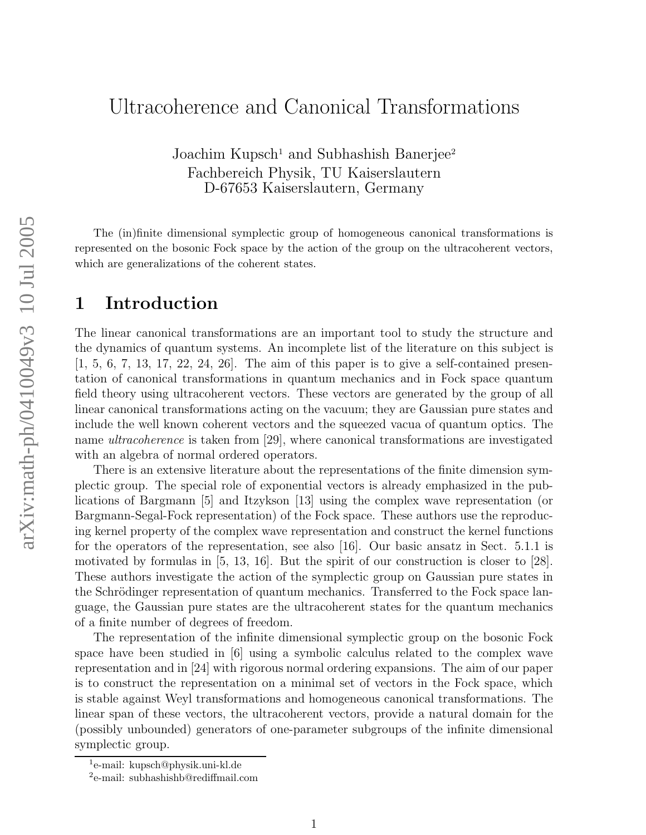# Ultracoherence and Canonical Transformations

Joachim Kupsch<sup>1</sup> and Subhashish Banerjee<sup>2</sup> Fachbereich Physik, TU Kaiserslautern D-67653 Kaiserslautern, Germany

The (in)finite dimensional symplectic group of homogeneous canonical transformations is represented on the bosonic Fock space by the action of the group on the ultracoherent vectors, which are generalizations of the coherent states.

## 1 Introduction

The linear canonical transformations are an important tool to study the structure and the dynamics of quantum systems. An incomplete list of the literature on this subject is  $[1, 5, 6, 7, 13, 17, 22, 24, 26]$ . The aim of this paper is to give a self-contained presentation of canonical transformations in quantum mechanics and in Fock space quantum field theory using ultracoherent vectors. These vectors are generated by the group of all linear canonical transformations acting on the vacuum; they are Gaussian pure states and include the well known coherent vectors and the squeezed vacua of quantum optics. The name ultracoherence is taken from [29], where canonical transformations are investigated with an algebra of normal ordered operators.

There is an extensive literature about the representations of the finite dimension symplectic group. The special role of exponential vectors is already emphasized in the publications of Bargmann [5] and Itzykson [13] using the complex wave representation (or Bargmann-Segal-Fock representation) of the Fock space. These authors use the reproducing kernel property of the complex wave representation and construct the kernel functions for the operators of the representation, see also [16]. Our basic ansatz in Sect. 5.1.1 is motivated by formulas in [5, 13, 16]. But the spirit of our construction is closer to [28]. These authors investigate the action of the symplectic group on Gaussian pure states in the Schrödinger representation of quantum mechanics. Transferred to the Fock space language, the Gaussian pure states are the ultracoherent states for the quantum mechanics of a finite number of degrees of freedom.

The representation of the infinite dimensional symplectic group on the bosonic Fock space have been studied in [6] using a symbolic calculus related to the complex wave representation and in [24] with rigorous normal ordering expansions. The aim of our paper is to construct the representation on a minimal set of vectors in the Fock space, which is stable against Weyl transformations and homogeneous canonical transformations. The linear span of these vectors, the ultracoherent vectors, provide a natural domain for the (possibly unbounded) generators of one-parameter subgroups of the infinite dimensional symplectic group.

<sup>1</sup> e-mail: kupsch@physik.uni-kl.de

<sup>2</sup> e-mail: subhashishb@rediffmail.com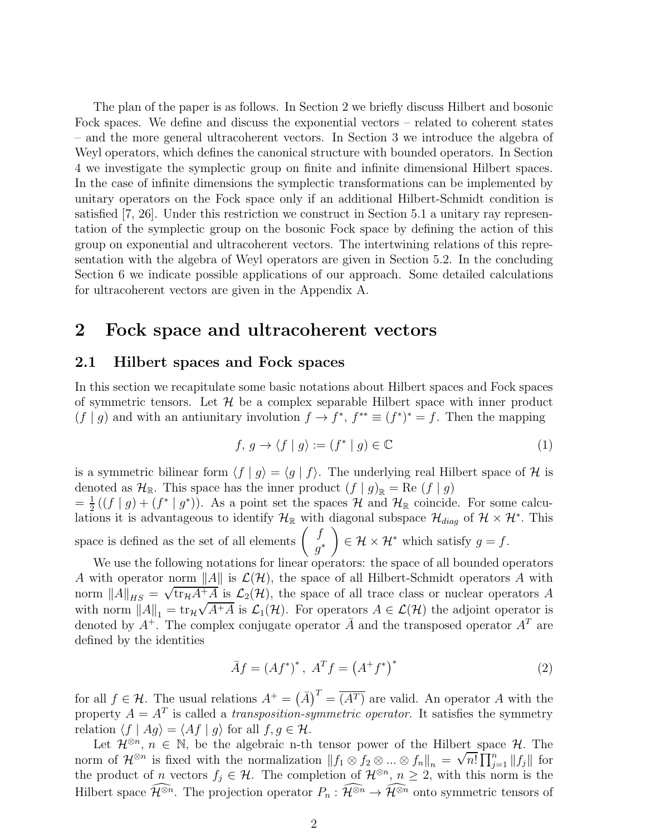The plan of the paper is as follows. In Section 2 we briefly discuss Hilbert and bosonic Fock spaces. We define and discuss the exponential vectors – related to coherent states – and the more general ultracoherent vectors. In Section 3 we introduce the algebra of Weyl operators, which defines the canonical structure with bounded operators. In Section 4 we investigate the symplectic group on finite and infinite dimensional Hilbert spaces. In the case of infinite dimensions the symplectic transformations can be implemented by unitary operators on the Fock space only if an additional Hilbert-Schmidt condition is satisfied [7, 26]. Under this restriction we construct in Section 5.1 a unitary ray representation of the symplectic group on the bosonic Fock space by defining the action of this group on exponential and ultracoherent vectors. The intertwining relations of this representation with the algebra of Weyl operators are given in Section 5.2. In the concluding Section 6 we indicate possible applications of our approach. Some detailed calculations for ultracoherent vectors are given in the Appendix A.

## 2 Fock space and ultracoherent vectors

### 2.1 Hilbert spaces and Fock spaces

In this section we recapitulate some basic notations about Hilbert spaces and Fock spaces of symmetric tensors. Let  $\mathcal H$  be a complex separable Hilbert space with inner product  $(f | g)$  and with an antiunitary involution  $f \to f^*$ ,  $f^{**} \equiv (f^*)^* = f$ . Then the mapping

$$
f, g \to \langle f | g \rangle := (f^* | g) \in \mathbb{C}
$$
 (1)

is a symmetric bilinear form  $\langle f | g \rangle = \langle g | f \rangle$ . The underlying real Hilbert space of H is denoted as  $\mathcal{H}_{\mathbb{R}}$ . This space has the inner product  $(f | g)_{\mathbb{R}} = \text{Re}(f | g)$ 

 $=$  $\frac{1}{2}$  $\frac{1}{2}((f \mid g) + (f^* \mid g^*))$ . As a point set the spaces H and  $\mathcal{H}_{\mathbb{R}}$  coincide. For some calculations it is advantageous to identify  $\mathcal{H}_{\mathbb{R}}$  with diagonal subspace  $\mathcal{H}_{diag}$  of  $\mathcal{H} \times \mathcal{H}^*$ . This space is defined as the set of all elements  $\begin{pmatrix} f \\ \vdots \end{pmatrix}$  $g^*$  $\lambda$  $\in \mathcal{H} \times \mathcal{H}^*$  which satisfy  $g = f$ .

We use the following notations for linear operators: the space of all bounded operators A with operator norm  $||A||$  is  $\mathcal{L}(\mathcal{H})$ , the space of all Hilbert-Schmidt operators A with norm  $||A||_{HS} = \sqrt{\text{tr}_{\mathcal{H}}A^+A}$  is  $\mathcal{L}_2(\mathcal{H})$ , the space of all trace class or nuclear operators A with norm  $||A||_1 = \text{tr}_{\mathcal{H}} \sqrt{A^+A}$  is  $\mathcal{L}_1(\mathcal{H})$ . For operators  $A \in \mathcal{L}(\mathcal{H})$  the adjoint operator is denoted by  $A^+$ . The complex conjugate operator  $\overline{A}$  and the transposed operator  $A^T$  are defined by the identities

$$
\bar{A}f = (Af^*)^*, \ A^T f = (A^+ f^*)^* \tag{2}
$$

for all  $f \in \mathcal{H}$ . The usual relations  $A^+ = (\bar{A})^T = \overline{(A^T)}$  are valid. An operator A with the property  $A = A^T$  is called a *transposition-symmetric operator*. It satisfies the symmetry relation  $\langle f | Aq \rangle = \langle Af | q \rangle$  for all  $f, q \in \mathcal{H}$ .

Let  $\mathcal{H}^{\otimes n}$ ,  $n \in \mathbb{N}$ , be the algebraic n-th tensor power of the Hilbert space  $\mathcal{H}$ . The norm of  $\mathcal{H}^{\otimes n}$  is fixed with the normalization  $||f_1 \otimes f_2 \otimes ... \otimes f_n||_n = \sqrt{n!} \prod_{j=1}^n ||f_j||$  for the product of *n* vectors  $f_j \in \mathcal{H}$ . The completion of  $\mathcal{H}^{\otimes n}$ ,  $n \geq 2$ , with this norm is the Hilbert space  $\widehat{\mathcal{H}}^{\otimes n}$ . The projection operator  $P_n : \widehat{\mathcal{H}}^{\otimes n} \to \widehat{\mathcal{H}}^{\otimes n}$  onto symmetric tensors of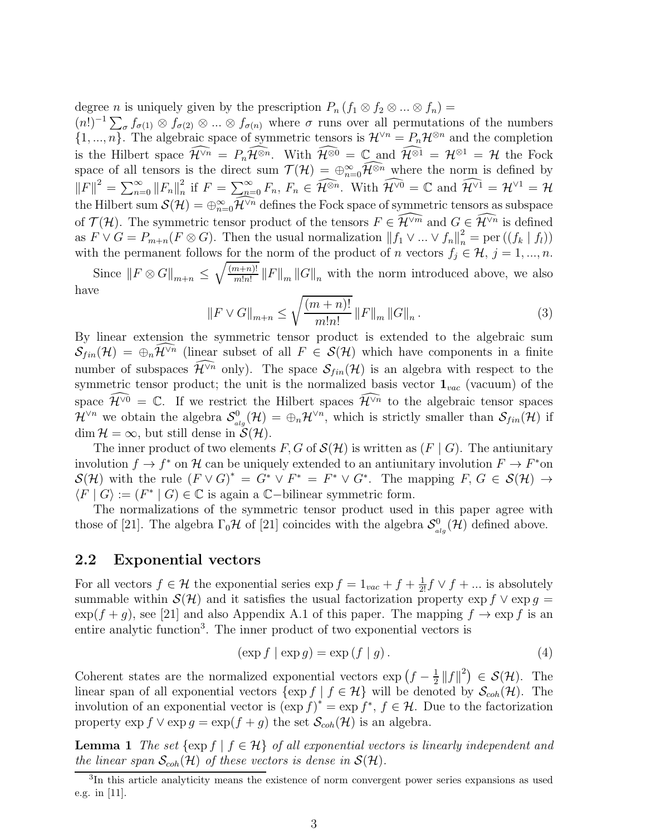degree *n* is uniquely given by the prescription  $P_n$   $(f_1 \otimes f_2 \otimes ... \otimes f_n) =$ 

 $(n!)^{-1}\sum_{\sigma} f_{\sigma(1)} \otimes f_{\sigma(2)} \otimes ... \otimes f_{\sigma(n)}$  where  $\sigma$  runs over all permutations of the numbers  $\{1, ..., n\}$ . The algebraic space of symmetric tensors is  $\mathcal{H}^{\vee n} = P_n\mathcal{H}^{\otimes n}$  and the completion is the Hilbert space  $\widehat{\mathcal{H}}^{\vee n} = P_n\widehat{\mathcal{H}^{\otimes n}}$ . With  $\widehat{\mathcal{H}^{\otimes 0}} = \mathbb{C}$  and  $\widehat{\mathcal{H}^{\otimes 1}} = \mathcal{H}^{\otimes 1} = \mathcal{H}$  the Fock space of all tensors is the direct sum  $\mathcal{T}(\mathcal{H}) = \bigoplus_{n=0}^{\infty} \mathcal{H}^{\otimes n}$  where the norm is defined by  $||F||^2 = \sum_{n=0}^{\infty} ||F_n||_n^2$  $\widehat{H}_n^2$  if  $F = \sum_{n=0}^{\infty} F_n$ ,  $F_n \in \widehat{\mathcal{H}^{\otimes n}}$ . With  $\widehat{\mathcal{H}^{\vee 0}} = \mathbb{C}$  and  $\widehat{\mathcal{H}^{\vee 1}} = \mathcal{H}^{\vee 1} = \mathcal{H}$ the Hilbert sum  $\mathcal{S}(\mathcal{H}) = \bigoplus_{n=0}^{\infty} \tilde{\mathcal{H}}^{\vee n}$  defines the Fock space of symmetric tensors as subspace of  $\mathcal{T}(\mathcal{H})$ . The symmetric tensor product of the tensors  $F \in \widehat{\mathcal{H}}^{\vee m}$  and  $G \in \widehat{\mathcal{H}}^{\vee n}$  is defined as  $F \vee G = P_{m+n}(F \otimes G)$ . Then the usual normalization  $|| f_1 \vee ... \vee f_n ||_n^2 = \text{per}((f_k | f_l))$ with the permanent follows for the norm of the product of n vectors  $f_j \in \mathcal{H}, j = 1, ..., n$ .

Since  $||F \otimes G||_{m+n} \leq$  $\sqrt{(m+n)!}$  $\frac{n+n}{m!n!}$  ||F||<sub>m</sub> ||G||<sub>n</sub> with the norm introduced above, we also have

$$
||F \vee G||_{m+n} \le \sqrt{\frac{(m+n)!}{m!n!}} \, ||F||_{m} \, ||G||_{n} \, . \tag{3}
$$

By linear extension the symmetric tensor product is extended to the algebraic sum  $\mathcal{S}_{fin}(\mathcal{H}) = \bigoplus_{n} \mathcal{H}^{\vee n}$  (linear subset of all  $F \in \mathcal{S}(\mathcal{H})$  which have components in a finite number of subspaces  $\widehat{\mathcal{H}}^{\vee n}$  only). The space  $\mathcal{S}_{fin}(\mathcal{H})$  is an algebra with respect to the symmetric tensor product; the unit is the normalized basis vector  $\mathbf{1}_{vac}$  (vacuum) of the space  $\widehat{\mathcal{H}}^{\vee 0} = \mathbb{C}$ . If we restrict the Hilbert spaces  $\widehat{\mathcal{H}}^{\vee n}$  to the algebraic tensor spaces  $\mathcal{H}^{\vee n}$  we obtain the algebra  $\mathcal{S}^0_{ab}$  $\mathcal{L}_{alg}^{0}(\mathcal{H}) = \bigoplus_{n} \mathcal{H}^{\vee n}$ , which is strictly smaller than  $\mathcal{S}_{fin}(\mathcal{H})$  if  $\dim \mathcal{H} = \infty$ , but still dense in  $\mathcal{S}(\mathcal{H})$ .

The inner product of two elements F, G of  $\mathcal{S}(\mathcal{H})$  is written as  $(F \mid G)$ . The antiunitary involution  $f \to f^*$  on H can be uniquely extended to an antiunitary involution  $F \to F^*$ on  $\mathcal{S}(\mathcal{H})$  with the rule  $(F \vee G)^* = G^* \vee F^* = F^* \vee G^*$ . The mapping  $F, G \in \mathcal{S}(\mathcal{H}) \rightarrow$  $\langle F | G \rangle := (F^* | G) \in \mathbb{C}$  is again a  $\mathbb{C}-$ bilinear symmetric form.

The normalizations of the symmetric tensor product used in this paper agree with those of [21]. The algebra  $\Gamma_0\mathcal{H}$  of [21] coincides with the algebra  $\mathcal{S}^0_a$  $\mathcal{L}_{alg}^{0}(\mathcal{H})$  defined above.

#### 2.2 Exponential vectors

For all vectors  $f \in \mathcal{H}$  the exponential series  $\exp f = 1_{vac} + f + \frac{1}{2!}f \vee f + ...$  is absolutely summable within  $\mathcal{S}(\mathcal{H})$  and it satisfies the usual factorization property  $\exp f \vee \exp g =$  $\exp(f + g)$ , see [21] and also Appendix A.1 of this paper. The mapping  $f \to \exp f$  is an entire analytic function<sup>3</sup>. The inner product of two exponential vectors is

$$
(\exp f \mid \exp g) = \exp \left(f \mid g\right). \tag{4}
$$

Coherent states are the normalized exponential vectors  $\exp\left(f-\frac{1}{2}\right)$  $\frac{1}{2}$   $||f||^2$   $\in$   $\mathcal{S}(\mathcal{H})$ . The linear span of all exponential vectors  $\{\exp f \mid f \in \mathcal{H}\}\$  will be denoted by  $\mathcal{S}_{coh}(\mathcal{H})$ . The involution of an exponential vector is  $(\exp f)^* = \exp f^*$ ,  $f \in \mathcal{H}$ . Due to the factorization property  $\exp f \vee \exp g = \exp(f + g)$  the set  $\mathcal{S}_{coh}(\mathcal{H})$  is an algebra.

**Lemma 1** The set  $\{\exp f \mid f \in \mathcal{H}\}\$  of all exponential vectors is linearly independent and the linear span  $\mathcal{S}_{coh}(\mathcal{H})$  of these vectors is dense in  $\mathcal{S}(\mathcal{H})$ .

<sup>3</sup> In this article analyticity means the existence of norm convergent power series expansions as used e.g. in [11].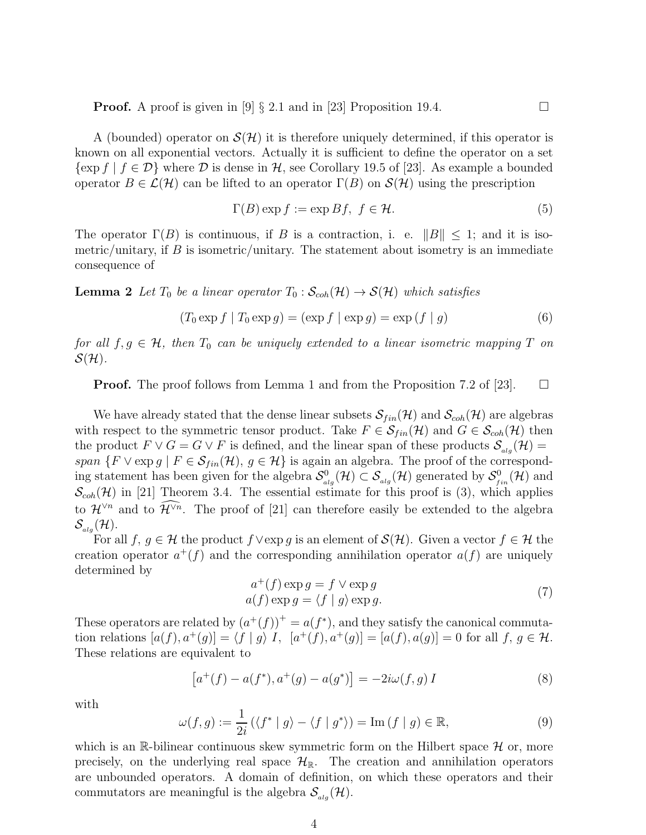**Proof.** A proof is given in  $\begin{bmatrix} 9 \end{bmatrix}$  § 2.1 and in [23] Proposition 19.4.

A (bounded) operator on  $\mathcal{S}(\mathcal{H})$  it is therefore uniquely determined, if this operator is known on all exponential vectors. Actually it is sufficient to define the operator on a set  $\{\exp f \mid f \in \mathcal{D}\}\$  where  $\mathcal D$  is dense in  $\mathcal H$ , see Corollary 19.5 of [23]. As example a bounded operator  $B \in \mathcal{L}(\mathcal{H})$  can be lifted to an operator  $\Gamma(B)$  on  $\mathcal{S}(\mathcal{H})$  using the prescription

$$
\Gamma(B) \exp f := \exp Bf, \ f \in \mathcal{H}.
$$
 (5)

The operator  $\Gamma(B)$  is continuous, if B is a contraction, i. e.  $||B|| \leq 1$ ; and it is isometric/unitary, if  $B$  is isometric/unitary. The statement about isometry is an immediate consequence of

**Lemma 2** Let  $T_0$  be a linear operator  $T_0$ :  $\mathcal{S}_{coh}(\mathcal{H}) \to \mathcal{S}(\mathcal{H})$  which satisfies

$$
(T_0 \exp f \mid T_0 \exp g) = (\exp f \mid \exp g) = \exp (f \mid g)
$$
\n
$$
(6)
$$

for all  $f, g \in \mathcal{H}$ , then  $T_0$  can be uniquely extended to a linear isometric mapping T on  $\mathcal{S}(\mathcal{H})$ .

**Proof.** The proof follows from Lemma 1 and from the Proposition 7.2 of [23].  $\Box$ 

We have already stated that the dense linear subsets  $\mathcal{S}_{fin}(\mathcal{H})$  and  $\mathcal{S}_{coh}(\mathcal{H})$  are algebras with respect to the symmetric tensor product. Take  $F \in \mathcal{S}_{fin}(\mathcal{H})$  and  $G \in \mathcal{S}_{coh}(\mathcal{H})$  then the product  $F \vee G = G \vee F$  is defined, and the linear span of these products  $\mathcal{S}_{\mathit{alg}}(\mathcal{H}) =$ span  $\{F \vee \exp g \mid F \in \mathcal{S}_{fin}(\mathcal{H}), g \in \mathcal{H}\}\$ is again an algebra. The proof of the corresponding statement has been given for the algebra  $\mathcal{S}^0_a$  $\mathcal{S}^0_{alg}(\mathcal{H}) \subset \mathcal{S}_{alg}(\mathcal{H})$  generated by  $\mathcal{S}^0_{f}$  $f_{fin}^0(\mathcal{H})$  and  $\mathcal{S}_{coh}(\mathcal{H})$  in [21] Theorem 3.4. The essential estimate for this proof is (3), which applies to  $\mathcal{H}^{\vee n}$  and to  $\widehat{\mathcal{H}}^{\vee n}$ . The proof of [21] can therefore easily be extended to the algebra  $\mathcal{S}_{\scriptscriptstyle{ala}}(\mathcal{H}).$ 

For all f, g  $\in \mathcal{H}$  the product  $f \vee \exp g$  is an element of  $\mathcal{S}(\mathcal{H})$ . Given a vector  $f \in \mathcal{H}$  the creation operator  $a^+(f)$  and the corresponding annihilation operator  $a(f)$  are uniquely determined by

$$
a^{+}(f) \exp g = f \vee \exp g
$$
  
\n
$$
a(f) \exp g = \langle f | g \rangle \exp g.
$$
 (7)

These operators are related by  $(a^+(f))^+ = a(f^*)$ , and they satisfy the canonical commutation relations  $[a(f), a^+(g)] = \langle f | g \rangle I$ ,  $[a^+(f), a^+(g)] = [a(f), a(g)] = 0$  for all  $f, g \in \mathcal{H}$ . These relations are equivalent to

$$
[a^+(f) - a(f^*), a^+(g) - a(g^*)] = -2i\omega(f, g) I
$$
\n(8)

with

$$
\omega(f,g) := \frac{1}{2i} \left( \langle f^* \mid g \rangle - \langle f \mid g^* \rangle \right) = \text{Im} \left( f \mid g \right) \in \mathbb{R},\tag{9}
$$

which is an R-bilinear continuous skew symmetric form on the Hilbert space  $\mathcal H$  or, more precisely, on the underlying real space  $\mathcal{H}_{\mathbb{R}}$ . The creation and annihilation operators are unbounded operators. A domain of definition, on which these operators and their commutators are meaningful is the algebra  $\mathcal{S}_{\mathfrak{a}lq}(\mathcal{H})$ .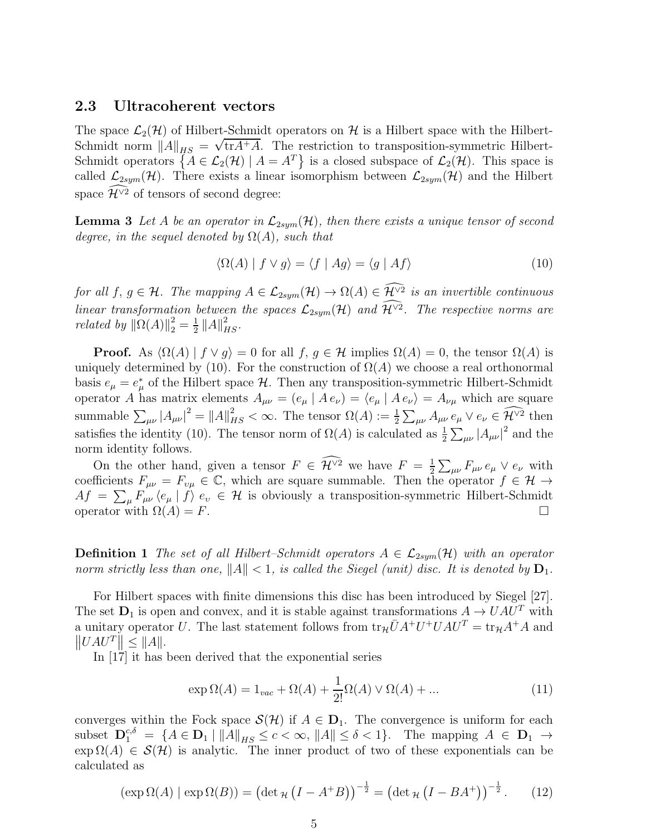### 2.3 Ultracoherent vectors

The space  $\mathcal{L}_2(\mathcal{H})$  of Hilbert-Schmidt operators on H is a Hilbert space with the Hilbert-Schmidt norm  $||A||_{HS} = \sqrt{\text{tr}A+A}$ . The restriction to transposition-symmetric Hilbert-Schmidt operators  $\{A \in \mathcal{L}_2(\mathcal{H}) \mid A = A^T\}$  is a closed subspace of  $\mathcal{L}_2(\mathcal{H})$ . This space is called  $\mathcal{L}_{2sym}(\mathcal{H})$ . There exists a linear isomorphism between  $\mathcal{L}_{2sym}(\mathcal{H})$  and the Hilbert space  $\widehat{\mathcal{H}}^{\vee 2}$  of tensors of second degree:

**Lemma 3** Let A be an operator in  $\mathcal{L}_{2sym}(\mathcal{H})$ , then there exists a unique tensor of second degree, in the sequel denoted by  $\Omega(A)$ , such that

$$
\langle \Omega(A) | f \vee g \rangle = \langle f | Ag \rangle = \langle g | Af \rangle \tag{10}
$$

for all  $f, g \in \mathcal{H}$ . The mapping  $A \in \mathcal{L}_{2sym}(\mathcal{H}) \to \Omega(A) \in \mathcal{H}^{\vee 2}$  is an invertible continuous linear transformation between the spaces  $\mathcal{L}_{2sym}(\mathcal{H})$  and  $\mathcal{H}^{\vee 2}$ . The respective norms are *related by*  $\|\Omega(A)\|_2^2 = \frac{1}{2}$  $\frac{1}{2}$   $||A||_{HS}^2$ .

**Proof.** As  $\langle \Omega(A) | f \vee g \rangle = 0$  for all  $f, g \in \mathcal{H}$  implies  $\Omega(A) = 0$ , the tensor  $\Omega(A)$  is uniquely determined by (10). For the construction of  $\Omega(A)$  we choose a real orthonormal basis  $e_{\mu} = e_{\mu}^*$  of the Hilbert space  $\mathcal{H}$ . Then any transposition-symmetric Hilbert-Schmidt operator A has matrix elements  $A_{\mu\nu} = (e_{\mu} | A e_{\nu}) = (e_{\mu} | A e_{\nu}) = A_{\nu\mu}$  which are square summable  $\sum_{\mu\nu} |A_{\mu\nu}|^2 = ||A||^2_{HS} < \infty$ . The tensor  $\Omega(A) := \frac{1}{2} \sum_{\mu\nu} A_{\mu\nu} e_{\mu} \vee e_{\nu} \in \widetilde{\mathcal{H}}^{\vee 2}$  then satisfies the identity (10). The tensor norm of  $\Omega(A)$  is calculated as  $\frac{1}{2}\sum_{\mu\nu}|A_{\mu\nu}|^2$  and the norm identity follows.

On the other hand, given a tensor  $F \in \mathcal{H}^{\vee 2}$  we have  $F = \frac{1}{2}$  $\frac{1}{2} \sum_{\mu\nu} F_{\mu\nu} e_{\mu} \vee e_{\nu}$  with coefficients  $F_{\mu\nu} = F_{\nu\mu} \in \mathbb{C}$ , which are square summable. Then the operator  $f \in \mathcal{H} \to$  $Af = \sum_{\mu} F_{\mu\nu} \langle e_{\mu} | f \rangle e_{\nu} \in \mathcal{H}$  is obviously a transposition-symmetric Hilbert-Schmidt operator with  $\Omega(A) = F$ .

**Definition 1** The set of all Hilbert–Schmidt operators  $A \in \mathcal{L}_{2sym}(\mathcal{H})$  with an operator norm strictly less than one,  $||A|| < 1$ , is called the Siegel (unit) disc. It is denoted by  $D_1$ .

For Hilbert spaces with finite dimensions this disc has been introduced by Siegel [27]. The set  $D_1$  is open and convex, and it is stable against transformations  $A \to UAU^T$  with a unitary operator U. The last statement follows from  $\text{tr}_{\mathcal{H}} \bar{U} A^+ U^+ U A U^T = \text{tr}_{\mathcal{H}} A^+ A$  and  $\left\|UAU^{T}\right\| \leq \|A\|.$ 

In [17] it has been derived that the exponential series

$$
\exp \Omega(A) = 1_{vac} + \Omega(A) + \frac{1}{2!} \Omega(A) \vee \Omega(A) + \dots \tag{11}
$$

converges within the Fock space  $\mathcal{S}(\mathcal{H})$  if  $A \in \mathbf{D}_1$ . The convergence is uniform for each subset  $\mathbf{D}_1^{c,\delta} = \{A \in \mathbf{D}_1 \mid ||A||_{HS} \leq c < \infty, ||A|| \leq \delta < 1\}.$  The mapping  $A \in \mathbf{D}_1 \rightarrow$  $\exp \Omega(A) \in \mathcal{S}(\mathcal{H})$  is analytic. The inner product of two of these exponentials can be calculated as

$$
(\exp \Omega(A) | \exp \Omega(B)) = (\det_{\mathcal{H}} (I - A^+ B))^{-\frac{1}{2}} = (\det_{\mathcal{H}} (I - B A^+))^{-\frac{1}{2}}.
$$
 (12)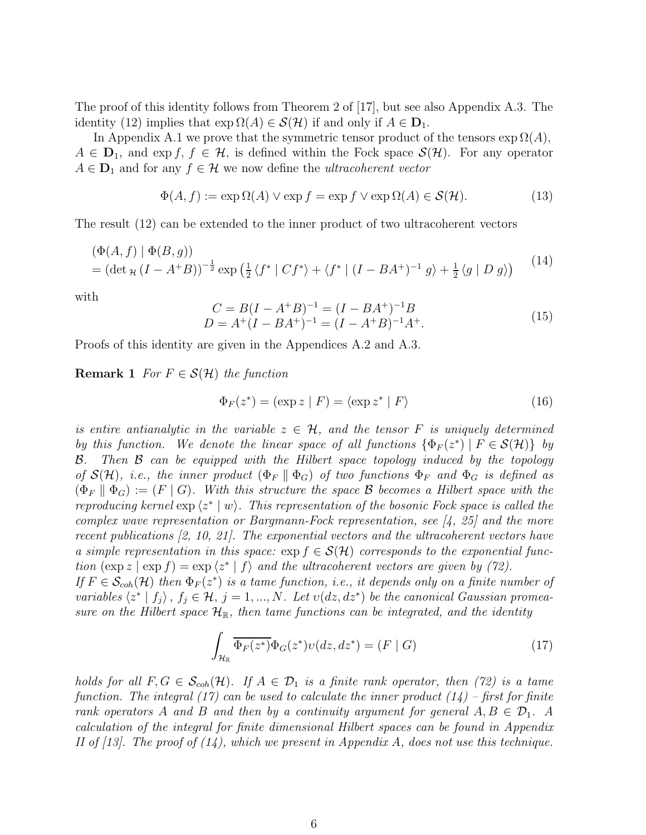The proof of this identity follows from Theorem 2 of [17], but see also Appendix A.3. The identity (12) implies that  $\exp \Omega(A) \in \mathcal{S}(\mathcal{H})$  if and only if  $A \in \mathbf{D}_1$ .

In Appendix A.1 we prove that the symmetric tensor product of the tensors  $\exp \Omega(A)$ ,  $A \in \mathbf{D}_1$ , and exp f,  $f \in \mathcal{H}$ , is defined within the Fock space  $\mathcal{S}(\mathcal{H})$ . For any operator  $A \in \mathbf{D}_1$  and for any  $f \in \mathcal{H}$  we now define the *ultracoherent vector* 

$$
\Phi(A, f) := \exp \Omega(A) \vee \exp f = \exp f \vee \exp \Omega(A) \in \mathcal{S}(\mathcal{H}).
$$
\n(13)

The result (12) can be extended to the inner product of two ultracoherent vectors

$$
(\Phi(A, f) | \Phi(B, g))
$$
  
=  $(\det_{\mathcal{H}} (I - A^+ B))^{-\frac{1}{2}} \exp \left(\frac{1}{2} \langle f^* | C f^* \rangle + \langle f^* | (I - BA^+ )^{-1} g \rangle + \frac{1}{2} \langle g | D g \rangle \right)$  (14)

with

$$
C = B(I - A^{+}B)^{-1} = (I - BA^{+})^{-1}B
$$
  
\n
$$
D = A^{+}(I - BA^{+})^{-1} = (I - A^{+}B)^{-1}A^{+}.
$$
\n(15)

Proofs of this identity are given in the Appendices A.2 and A.3.

**Remark 1** For  $F \in \mathcal{S}(\mathcal{H})$  the function

$$
\Phi_F(z^*) = (\exp z \mid F) = \langle \exp z^* \mid F \rangle \tag{16}
$$

is entire antianalytic in the variable  $z \in \mathcal{H}$ , and the tensor F is uniquely determined by this function. We denote the linear space of all functions  $\{\Phi_F(z^*) \mid F \in \mathcal{S}(\mathcal{H})\}$  by B. Then B can be equipped with the Hilbert space topology induced by the topology of  $\mathcal{S}(\mathcal{H})$ , i.e., the inner product  $(\Phi_F \parallel \Phi_G)$  of two functions  $\Phi_F$  and  $\Phi_G$  is defined as  $(\Phi_F \parallel \Phi_G) := (F \mid G)$ . With this structure the space B becomes a Hilbert space with the reproducing kernel  $\exp(z^* | w)$ . This representation of the bosonic Fock space is called the complex wave representation or Bargmann-Fock representation, see  $[4, 25]$  and the more recent publications [2, 10, 21]. The exponential vectors and the ultracoherent vectors have a simple representation in this space:  $\exp f \in \mathcal{S}(\mathcal{H})$  corresponds to the exponential function  $(\exp z \mid \exp f) = \exp \langle z^* | f \rangle$  and the ultracoherent vectors are given by (72). If  $F \in \mathcal{S}_{coh}(\mathcal{H})$  then  $\Phi_F(z^*)$  is a tame function, i.e., it depends only on a finite number of

variables  $\langle z^* | f_j \rangle$ ,  $f_j \in \mathcal{H}, j = 1, ..., N$ . Let  $v(dz, dz^*)$  be the canonical Gaussian promeasure on the Hilbert space  $\mathcal{H}_{\mathbb{R}}$ , then tame functions can be integrated, and the identity

$$
\int_{\mathcal{H}_{\mathbb{R}}} \overline{\Phi_F(z^*)} \Phi_G(z^*) \nu(dz, dz^*) = (F \mid G) \tag{17}
$$

holds for all  $F, G \in \mathcal{S}_{coh}(\mathcal{H})$ . If  $A \in \mathcal{D}_1$  is a finite rank operator, then (72) is a tame function. The integral (17) can be used to calculate the inner product  $(14)$  – first for finite rank operators A and B and then by a continuity argument for general  $A, B \in \mathcal{D}_1$ . A calculation of the integral for finite dimensional Hilbert spaces can be found in Appendix II of  $[13]$ . The proof of  $(14)$ , which we present in Appendix A, does not use this technique.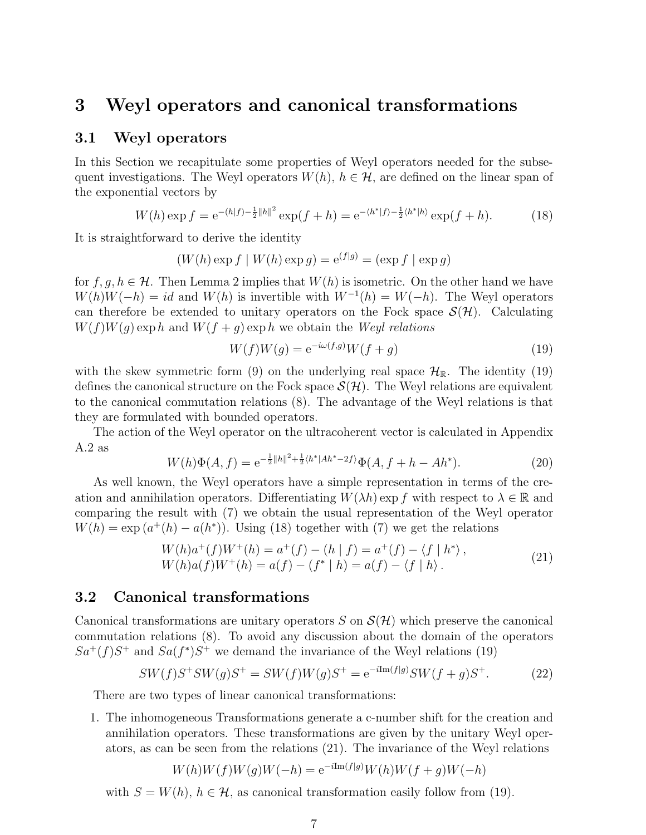## 3 Weyl operators and canonical transformations

### 3.1 Weyl operators

In this Section we recapitulate some properties of Weyl operators needed for the subsequent investigations. The Weyl operators  $W(h)$ ,  $h \in \mathcal{H}$ , are defined on the linear span of the exponential vectors by

$$
W(h)\exp f = e^{-(h|f) - \frac{1}{2}||h||^2} \exp(f + h) = e^{-\langle h^*|f\rangle - \frac{1}{2}\langle h^*|h\rangle} \exp(f + h).
$$
 (18)

It is straightforward to derive the identity

$$
(W(h)\exp f \mid W(h)\exp g) = e^{(f|g)} = (\exp f \mid \exp g)
$$

for f,  $q, h \in \mathcal{H}$ . Then Lemma 2 implies that  $W(h)$  is isometric. On the other hand we have  $W(h)W(-h) = id$  and  $W(h)$  is invertible with  $W^{-1}(h) = W(-h)$ . The Weyl operators can therefore be extended to unitary operators on the Fock space  $\mathcal{S}(\mathcal{H})$ . Calculating  $W(f)W(g)$  exp h and  $W(f + g)$  exp h we obtain the Weyl relations

$$
W(f)W(g) = e^{-i\omega(f,g)}W(f+g)
$$
\n(19)

with the skew symmetric form (9) on the underlying real space  $\mathcal{H}_{\mathbb{R}}$ . The identity (19) defines the canonical structure on the Fock space  $\mathcal{S}(\mathcal{H})$ . The Weyl relations are equivalent to the canonical commutation relations (8). The advantage of the Weyl relations is that they are formulated with bounded operators.

The action of the Weyl operator on the ultracoherent vector is calculated in Appendix A.2 as

$$
W(h)\Phi(A,f) = e^{-\frac{1}{2}||h||^2 + \frac{1}{2}\langle h^*|Ah^* - 2f\rangle}\Phi(A,f+h - Ah^*).
$$
\n(20)

As well known, the Weyl operators have a simple representation in terms of the creation and annihilation operators. Differentiating  $W(\lambda h)$  exp f with respect to  $\lambda \in \mathbb{R}$  and comparing the result with (7) we obtain the usual representation of the Weyl operator  $W(h) = \exp(a^+(h) - a(h^*))$ . Using (18) together with (7) we get the relations

$$
W(h)a^{+}(f)W^{+}(h) = a^{+}(f) - (h | f) = a^{+}(f) - \langle f | h^{*} \rangle, W(h)a(f)W^{+}(h) = a(f) - (f^{*} | h) = a(f) - \langle f | h \rangle.
$$
 (21)

### 3.2 Canonical transformations

Canonical transformations are unitary operators S on  $\mathcal{S}(\mathcal{H})$  which preserve the canonical commutation relations (8). To avoid any discussion about the domain of the operators  $Sa^+(f)S^+$  and  $Sa(f^*)S^+$  we demand the invariance of the Weyl relations (19)

$$
SW(f)S^+SW(g)S^+ = SW(f)W(g)S^+ = e^{-i\text{Im}(f|g)}SW(f+g)S^+.
$$
 (22)

There are two types of linear canonical transformations:

1. The inhomogeneous Transformations generate a c-number shift for the creation and annihilation operators. These transformations are given by the unitary Weyl operators, as can be seen from the relations (21). The invariance of the Weyl relations

$$
W(h)W(f)W(g)W(-h) = e^{-i\text{Im}(f|g)}W(h)W(f+g)W(-h)
$$

with  $S = W(h)$ ,  $h \in \mathcal{H}$ , as canonical transformation easily follow from (19).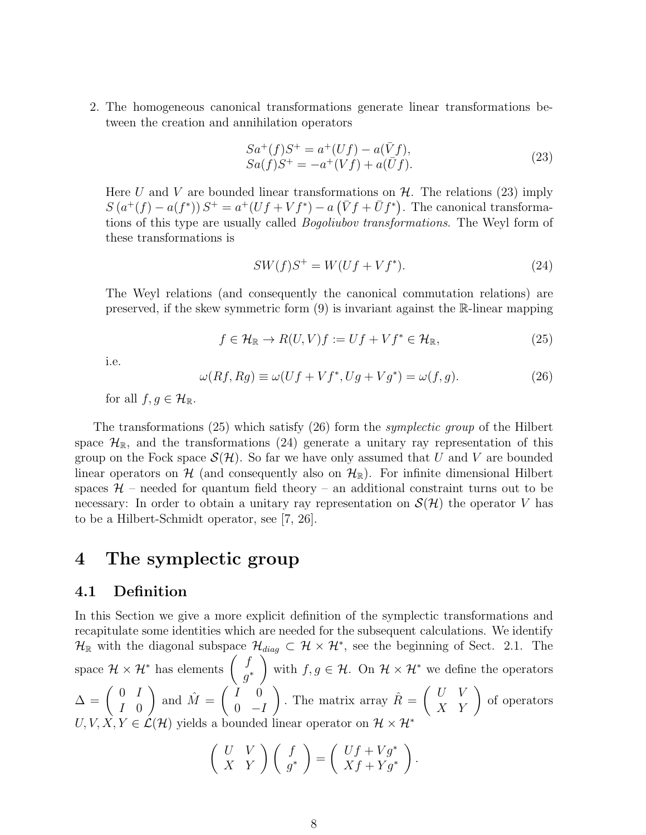2. The homogeneous canonical transformations generate linear transformations between the creation and annihilation operators

$$
Sa^+(f)S^+ = a^+(Uf) - a(\bar{V}f),Sa(f)S^+ = -a^+(Vf) + a(\bar{U}f).
$$
 (23)

Here U and V are bounded linear transformations on  $\mathcal{H}$ . The relations (23) imply  $S(a^+(f) - a(f^*))S^+ = a^+(Uf + Vf^*) - a(\bar{V}f + \bar{U}f^*)$ . The canonical transformations of this type are usually called Bogoliubov transformations. The Weyl form of these transformations is

$$
SW(f)S^{+} = W(Uf + Vf^{*}).
$$
\n(24)

The Weyl relations (and consequently the canonical commutation relations) are preserved, if the skew symmetric form (9) is invariant against the R-linear mapping

$$
f \in \mathcal{H}_{\mathbb{R}} \to R(U, V)f := Uf + Vf^* \in \mathcal{H}_{\mathbb{R}},\tag{25}
$$

i.e.

$$
\omega(Rf, Rg) \equiv \omega(Uf + Vf^*, Ug + Vg^*) = \omega(f, g). \tag{26}
$$

for all  $f, g \in \mathcal{H}_{\mathbb{R}}$ .

The transformations (25) which satisfy (26) form the symplectic group of the Hilbert space  $\mathcal{H}_{\mathbb{R}}$ , and the transformations (24) generate a unitary ray representation of this group on the Fock space  $\mathcal{S}(\mathcal{H})$ . So far we have only assumed that U and V are bounded linear operators on H (and consequently also on  $\mathcal{H}_{\mathbb{R}}$ ). For infinite dimensional Hilbert spaces  $H$  – needed for quantum field theory – an additional constraint turns out to be necessary: In order to obtain a unitary ray representation on  $\mathcal{S}(\mathcal{H})$  the operator V has to be a Hilbert-Schmidt operator, see [7, 26].

## 4 The symplectic group

## 4.1 Definition

In this Section we give a more explicit definition of the symplectic transformations and recapitulate some identities which are needed for the subsequent calculations. We identify  $\mathcal{H}_{\mathbb{R}}$  with the diagonal subspace  $\mathcal{H}_{diag} \subset \mathcal{H} \times \mathcal{H}^*$ , see the beginning of Sect. 2.1. The space  $\mathcal{H} \times \mathcal{H}^*$  has elements  $\begin{pmatrix} f \\ g^* \end{pmatrix}$  $g^*$  $\overline{\phantom{0}}$ with  $f, g \in \mathcal{H}$ . On  $\mathcal{H} \times \mathcal{H}^*$  we define the operators  $\Delta = \left( \begin{array}{cc} 0 & I \\ I & 0 \end{array} \right)$ I 0 ) and  $\hat{M} = \begin{pmatrix} I & 0 \\ 0 & I \end{pmatrix}$  $0 \t -I$ ). The matrix array  $\hat{R} = \begin{pmatrix} U & V \\ X & Y \end{pmatrix}$  of operators  $U, V, X, Y \in \mathcal{L}(\mathcal{H})$  yields a bounded linear operator on  $\mathcal{H} \times \mathcal{H}^*$ 

$$
\left(\begin{array}{cc} U & V \\ X & Y \end{array}\right)\left(\begin{array}{c} f \\ g^* \end{array}\right) = \left(\begin{array}{c} Uf + Vg^* \\ Xf + Yg^* \end{array}\right).
$$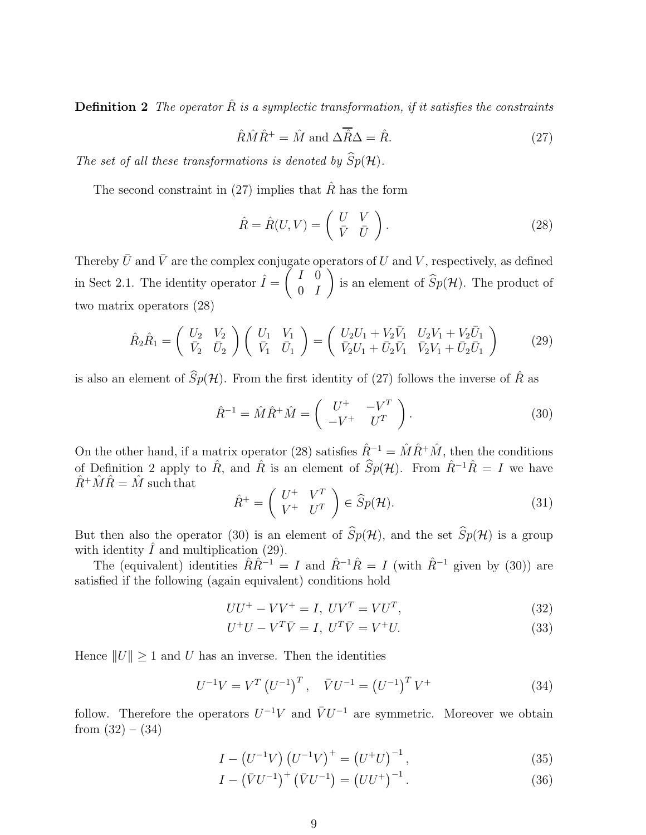**Definition 2** The operator  $\hat{R}$  is a symplectic transformation, if it satisfies the constraints

$$
\hat{R}\hat{M}\hat{R}^{+} = \hat{M} \text{ and } \Delta\overline{\hat{R}}\Delta = \hat{R}.
$$
\n(27)

The set of all these transformations is denoted by  $\widehat{Sp}(\mathcal{H})$ .

The second constraint in (27) implies that  $\hat{R}$  has the form

$$
\hat{R} = \hat{R}(U, V) = \begin{pmatrix} U & V \\ \bar{V} & \bar{U} \end{pmatrix}.
$$
\n(28)

Thereby  $\bar{U}$  and  $\bar{V}$  are the complex conjugate operators of U and V, respectively, as defined in Sect 2.1. The identity operator  $\hat{I} = \begin{pmatrix} I & 0 \\ 0 & I \end{pmatrix}$  $0$  *I*  $\lambda$ is an element of  $Sp(\mathcal H)$ . The product of two matrix operators (28)

$$
\hat{R}_2 \hat{R}_1 = \begin{pmatrix} U_2 & V_2 \\ \bar{V}_2 & \bar{U}_2 \end{pmatrix} \begin{pmatrix} U_1 & V_1 \\ \bar{V}_1 & \bar{U}_1 \end{pmatrix} = \begin{pmatrix} U_2 U_1 + V_2 \bar{V}_1 & U_2 V_1 + V_2 \bar{U}_1 \\ \bar{V}_2 U_1 + \bar{U}_2 \bar{V}_1 & \bar{V}_2 V_1 + \bar{U}_2 \bar{U}_1 \end{pmatrix}
$$
(29)

is also an element of  $\widehat{S}_{p}(\mathcal{H})$ . From the first identity of (27) follows the inverse of  $\widehat{R}$  as

$$
\hat{R}^{-1} = \hat{M}\hat{R}^+ \hat{M} = \begin{pmatrix} U^+ & -V^T \\ -V^+ & U^T \end{pmatrix}.
$$
 (30)

On the other hand, if a matrix operator (28) satisfies  $\hat{R}^{-1} = \hat{M}\hat{R}^+\hat{M}$ , then the conditions of Definition 2 apply to  $\hat{R}$ , and  $\hat{R}$  is an element of  $\hat{S}p(\mathcal{H})$ . From  $\hat{R}^{-1}\hat{R} = I$  we have  $\hat{R}^+\hat{M}\hat{R}=\hat{M}$  such that

$$
\hat{R}^+ = \left(\begin{array}{cc} U^+ & V^T \\ V^+ & U^T \end{array}\right) \in \widehat{Sp}(\mathcal{H}).\tag{31}
$$

But then also the operator (30) is an element of  $\widehat{S}_p(\mathcal{H})$ , and the set  $\widehat{S}_p(\mathcal{H})$  is a group with identity  $\hat{I}$  and multiplication (29).

The (equivalent) identities  $\hat{R}\hat{R}^{-1} = I$  and  $\hat{R}^{-1}\hat{R} = I$  (with  $\hat{R}^{-1}$  given by (30)) are satisfied if the following (again equivalent) conditions hold

$$
UU^{+} - VV^{+} = I, \ UV^{T} = VU^{T}, \tag{32}
$$

$$
U^+U - V^T\overline{V} = I, \ U^T\overline{V} = V^+U. \tag{33}
$$

Hence  $||U|| \geq 1$  and U has an inverse. Then the identities

$$
U^{-1}V = V^{T} (U^{-1})^{T}, \quad \bar{V}U^{-1} = (U^{-1})^{T} V^{+}
$$
\n(34)

follow. Therefore the operators  $U^{-1}V$  and  $\bar{V}U^{-1}$  are symmetric. Moreover we obtain from  $(32) - (34)$ 

$$
I - (U^{-1}V) (U^{-1}V)^{+} = (U^{+}U)^{-1}, \qquad (35)
$$

$$
I - (\bar{V}U^{-1})^{+} (\bar{V}U^{-1}) = (UU^{+})^{-1}.
$$
 (36)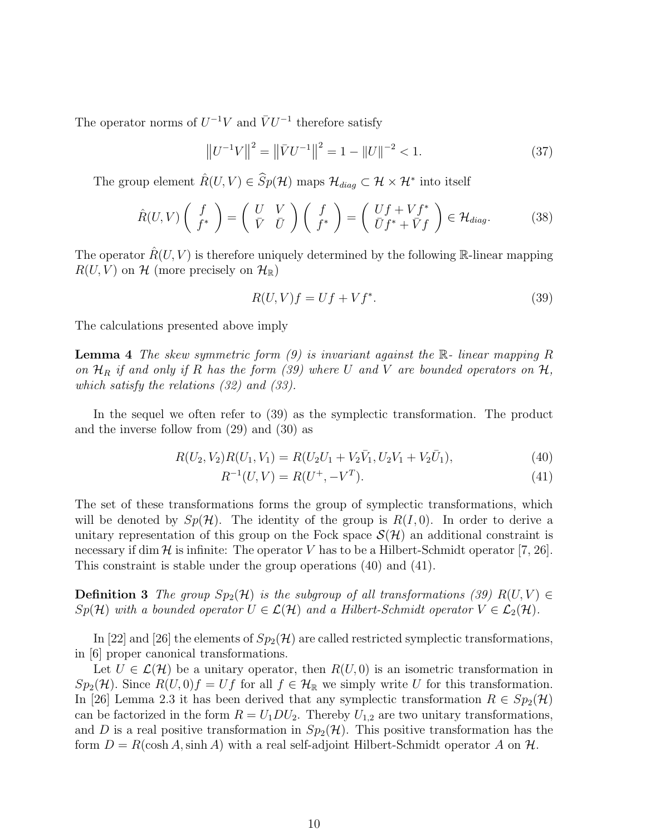The operator norms of  $U^{-1}V$  and  $\bar{V}U^{-1}$  therefore satisfy

$$
\left\|U^{-1}V\right\|^2 = \left\|\bar{V}U^{-1}\right\|^2 = 1 - \left\|U\right\|^{-2} < 1. \tag{37}
$$

The group element  $\hat{R}(U, V) \in \widehat{Sp}(\mathcal{H})$  maps  $\mathcal{H}_{diag} \subset \mathcal{H} \times \mathcal{H}^*$  into itself

$$
\hat{R}(U,V)\left(\begin{array}{c}f\\f^*\end{array}\right)=\left(\begin{array}{cc}U&V\\{\bar{V}}&\bar{U}\end{array}\right)\left(\begin{array}{c}f\\f^*\end{array}\right)=\left(\begin{array}{c}Uf+Vf^*\\{\bar{U}}f^*+\bar{V}f\end{array}\right)\in\mathcal{H}_{diag}.
$$
 (38)

The operator  $\hat{R}(U, V)$  is therefore uniquely determined by the following R-linear mapping  $R(U, V)$  on H (more precisely on  $\mathcal{H}_{\mathbb{R}}$ )

$$
R(U,V)f = Uf + Vf^*.
$$
\n(39)

The calculations presented above imply

**Lemma 4** The skew symmetric form  $(9)$  is invariant against the  $\mathbb{R}$ -linear mapping R on  $\mathcal{H}_R$  if and only if R has the form (39) where U and V are bounded operators on  $\mathcal{H}$ , which satisfy the relations (32) and (33).

In the sequel we often refer to (39) as the symplectic transformation. The product and the inverse follow from (29) and (30) as

$$
R(U_2, V_2)R(U_1, V_1) = R(U_2U_1 + V_2\bar{V}_1, U_2V_1 + V_2\bar{U}_1),
$$
\n(40)

$$
R^{-1}(U, V) = R(U^+, -V^T). \tag{41}
$$

The set of these transformations forms the group of symplectic transformations, which will be denoted by  $Sp(H)$ . The identity of the group is  $R(I, 0)$ . In order to derive a unitary representation of this group on the Fock space  $\mathcal{S}(\mathcal{H})$  an additional constraint is necessary if dim H is infinite: The operator V has to be a Hilbert-Schmidt operator [7, 26]. This constraint is stable under the group operations (40) and (41).

**Definition 3** The group  $Sp_2(\mathcal{H})$  is the subgroup of all transformations (39)  $R(U, V) \in$  $Sp(H)$  with a bounded operator  $U \in \mathcal{L}(\mathcal{H})$  and a Hilbert-Schmidt operator  $V \in \mathcal{L}_2(\mathcal{H})$ .

In [22] and [26] the elements of  $Sp_2(\mathcal{H})$  are called restricted symplectic transformations, in [6] proper canonical transformations.

Let  $U \in \mathcal{L}(\mathcal{H})$  be a unitary operator, then  $R(U, 0)$  is an isometric transformation in  $Sp_2(\mathcal{H})$ . Since  $R(U, 0)f = Uf$  for all  $f \in \mathcal{H}_{\mathbb{R}}$  we simply write U for this transformation. In [26] Lemma 2.3 it has been derived that any symplectic transformation  $R \in Sp_2(\mathcal{H})$ can be factorized in the form  $R = U_1 D U_2$ . Thereby  $U_{1,2}$  are two unitary transformations, and D is a real positive transformation in  $Sp_2(\mathcal{H})$ . This positive transformation has the form  $D = R(\cosh A, \sinh A)$  with a real self-adjoint Hilbert-Schmidt operator A on  $\mathcal{H}$ .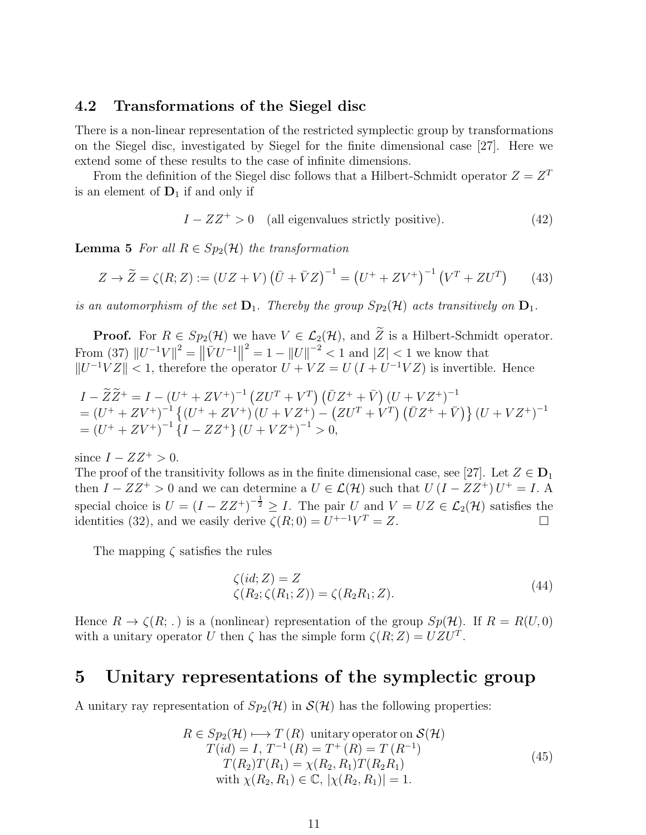## 4.2 Transformations of the Siegel disc

There is a non-linear representation of the restricted symplectic group by transformations on the Siegel disc, investigated by Siegel for the finite dimensional case [27]. Here we extend some of these results to the case of infinite dimensions.

From the definition of the Siegel disc follows that a Hilbert-Schmidt operator  $Z = Z<sup>T</sup>$ is an element of  $D_1$  if and only if

$$
I - ZZ^{+} > 0
$$
 (all eigenvalues strictly positive). (42)

**Lemma 5** For all  $R \in Sp_2(\mathcal{H})$  the transformation

$$
Z \to \widetilde{Z} = \zeta(R; Z) := (UZ + V) \left(\overline{U} + \overline{V}Z\right)^{-1} = \left(U^+ + ZV^+\right)^{-1} \left(V^T + ZU^T\right) \tag{43}
$$

is an automorphism of the set  $D_1$ . Thereby the group  $Sp_2(\mathcal{H})$  acts transitively on  $D_1$ .

**Proof.** For  $R \in Sp_2(\mathcal{H})$  we have  $V \in \mathcal{L}_2(\mathcal{H})$ , and  $\widetilde{Z}$  is a Hilbert-Schmidt operator. From (37)  $||U^{-1}V||^2 = ||\bar{V}U^{-1}||^2 = 1 - ||U||^{-2} < 1$  and  $|Z| < 1$  we know that  $||U^{-1}VZ|| < 1$ , therefore the operator  $U + VZ = U(I + U^{-1}VZ)$  is invertible. Hence

$$
I - \widetilde{Z}\widetilde{Z}^+ = I - (U^+ + ZV^+)^{-1} (ZU^T + V^T) (\bar{U}Z^+ + \bar{V}) (U + VZ^+)^{-1}
$$
  
=  $(U^+ + ZV^+)^{-1} \{ (U^+ + ZV^+) (U + VZ^+) - (ZU^T + V^T) (\bar{U}Z^+ + \bar{V}) \} (U + VZ^+)^{-1}$   
=  $(U^+ + ZV^+)^{-1} \{ I - ZZ^+ \} (U + VZ^+)^{-1} > 0,$ 

since  $I - ZZ^+ > 0$ .

The proof of the transitivity follows as in the finite dimensional case, see [27]. Let  $Z \in \mathbf{D}_1$ then  $I - ZZ^+ > 0$  and we can determine a  $U \in \mathcal{L}(\mathcal{H})$  such that  $U (I - ZZ^+) U^+ = I$ . A special choice is  $U = (I - ZZ^{\dagger})^{-\frac{1}{2}} \geq I$ . The pair U and  $V = UZ \in \mathcal{L}_2(\mathcal{H})$  satisfies the identities (32), and we easily derive  $\zeta(R;0) = U^{+-1}V^T = Z$ .

The mapping  $\zeta$  satisfies the rules

$$
\begin{aligned} \zeta(id; Z) &= Z\\ \zeta(R_2; \zeta(R_1; Z)) &= \zeta(R_2 R_1; Z). \end{aligned} \tag{44}
$$

Hence  $R \to \zeta(R; .)$  is a (nonlinear) representation of the group  $Sp(H)$ . If  $R = R(U, 0)$ with a unitary operator U then  $\zeta$  has the simple form  $\zeta(R; Z) = UZU<sup>T</sup>$ .

## 5 Unitary representations of the symplectic group

A unitary ray representation of  $Sp_2(\mathcal{H})$  in  $\mathcal{S}(\mathcal{H})$  has the following properties:

$$
R \in Sp_2(\mathcal{H}) \longrightarrow T(R) \text{ unitary operator on } \mathcal{S}(\mathcal{H})
$$
  
\n
$$
T(id) = I, T^{-1}(R) = T^+(R) = T(R^{-1})
$$
  
\n
$$
T(R_2)T(R_1) = \chi(R_2, R_1)T(R_2R_1)
$$
  
\nwith  $\chi(R_2, R_1) \in \mathbb{C}, |\chi(R_2, R_1)| = 1.$  (45)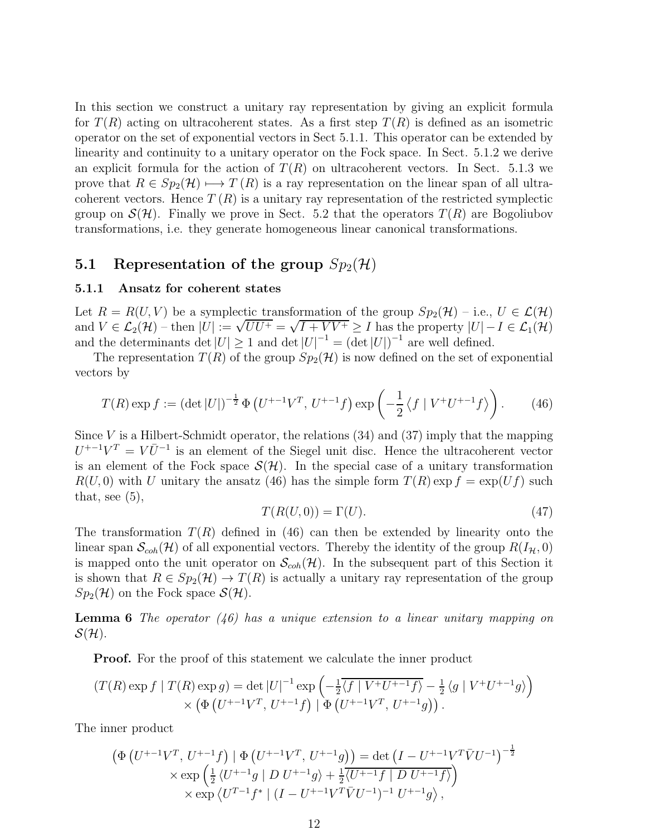In this section we construct a unitary ray representation by giving an explicit formula for  $T(R)$  acting on ultracoherent states. As a first step  $T(R)$  is defined as an isometric operator on the set of exponential vectors in Sect 5.1.1. This operator can be extended by linearity and continuity to a unitary operator on the Fock space. In Sect. 5.1.2 we derive an explicit formula for the action of  $T(R)$  on ultracoherent vectors. In Sect. 5.1.3 we prove that  $R \in Sp_2(\mathcal{H}) \longrightarrow T(R)$  is a ray representation on the linear span of all ultracoherent vectors. Hence  $T(R)$  is a unitary ray representation of the restricted symplectic group on  $\mathcal{S}(\mathcal{H})$ . Finally we prove in Sect. 5.2 that the operators  $T(R)$  are Bogoliubov transformations, i.e. they generate homogeneous linear canonical transformations.

## 5.1 Representation of the group  $Sp_2(\mathcal{H})$

#### 5.1.1 Ansatz for coherent states

Let  $R = R(U, V)$  be a symplectic transformation of the group  $Sp_2(\mathcal{H})$  – i.e.,  $U \in \mathcal{L}(\mathcal{H})$ and  $V \in \mathcal{L}_2(\mathcal{H})$  – then  $|U| := \sqrt{UU^+} = \sqrt{I + VV^+} \geq I$  has the property  $|U| - I \in \mathcal{L}_1(\mathcal{H})$ and the determinants det  $|U| \geq 1$  and det  $|U|^{-1} = (\det |U|)^{-1}$  are well defined.

The representation  $T(R)$  of the group  $Sp_2(\mathcal{H})$  is now defined on the set of exponential vectors by

$$
T(R) \exp f := (\det |U|)^{-\frac{1}{2}} \Phi \left( U^{+-1} V^T, U^{+-1} f \right) \exp \left( -\frac{1}{2} \left\langle f \mid V^+ U^{+-1} f \right\rangle \right). \tag{46}
$$

Since V is a Hilbert-Schmidt operator, the relations  $(34)$  and  $(37)$  imply that the mapping  $U^{+1}V^{T} = V\bar{U}^{-1}$  is an element of the Siegel unit disc. Hence the ultracoherent vector is an element of the Fock space  $\mathcal{S}(\mathcal{H})$ . In the special case of a unitary transformation  $R(U, 0)$  with U unitary the ansatz (46) has the simple form  $T(R)$  exp  $f = \exp(Uf)$  such that, see  $(5)$ ,

$$
T(R(U,0)) = \Gamma(U). \tag{47}
$$

The transformation  $T(R)$  defined in (46) can then be extended by linearity onto the linear span  $\mathcal{S}_{coh}(\mathcal{H})$  of all exponential vectors. Thereby the identity of the group  $R(I_{\mathcal{H}}, 0)$ is mapped onto the unit operator on  $\mathcal{S}_{coh}(\mathcal{H})$ . In the subsequent part of this Section it is shown that  $R \in Sp_2(\mathcal{H}) \to T(R)$  is actually a unitary ray representation of the group  $Sp_2(\mathcal{H})$  on the Fock space  $\mathcal{S}(\mathcal{H})$ .

**Lemma 6** The operator  $(46)$  has a unique extension to a linear unitary mapping on  $\mathcal{S}(\mathcal{H})$ .

**Proof.** For the proof of this statement we calculate the inner product

$$
(T(R) \exp f | T(R) \exp g) = \det |U|^{-1} \exp \left(-\frac{1}{2} \overline{\langle f | V^+ U^{+-1} f \rangle} - \frac{1}{2} \langle g | V^+ U^{+-1} g \rangle \right) \times \left(\Phi \left( U^{+-1} V^T, U^{+-1} f \right) | \Phi \left( U^{+-1} V^T, U^{+-1} g \right) \right).
$$

The inner product

$$
\begin{split} \left(\Phi\left(U^{+-1}V^{T},\,U^{+-1}f\right)\mid\Phi\left(U^{+-1}V^{T},\,U^{+-1}g\right)\right) &= \det\left(I - U^{+-1}V^{T}\bar{V}U^{-1}\right)^{-\frac{1}{2}}\\ &\times\exp\left(\frac{1}{2}\left\langle U^{+-1}g\mid D\;U^{+-1}g\right\rangle + \frac{1}{2}\langle U^{+-1}f\mid D\;U^{+-1}f\rangle\right) \\ &\times\exp\left\langle U^{T-1}f^{*}\mid (I - U^{+-1}V^{T}\bar{V}U^{-1})^{-1}\;U^{+-1}g\right\rangle, \end{split}
$$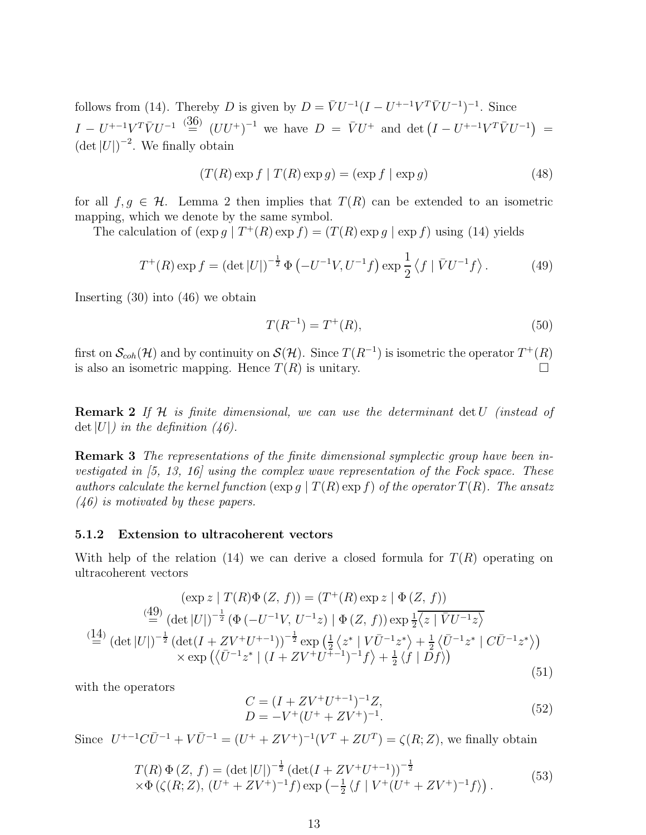follows from (14). Thereby D is given by  $D = \bar{V}U^{-1}(I - U^{+-1}V^T\bar{V}U^{-1})^{-1}$ . Since  $I - U^{+-1}V^T\bar{V}U^{-1} \stackrel{(\text{36})}{=} (UU^+)^{-1}$  we have  $D = \bar{V}U^+$  and det  $(I - U^{+-1}V^T\bar{V}U^{-1}) =$  $(\det |U|)^{-2}$ . We finally obtain

$$
(T(R)\exp f \mid T(R)\exp g) = (\exp f \mid \exp g)
$$
\n(48)

for all  $f, g \in \mathcal{H}$ . Lemma 2 then implies that  $T(R)$  can be extended to an isometric mapping, which we denote by the same symbol.

The calculation of  $(\exp g \mid T^+(R) \exp f) = (T(R) \exp g \mid \exp f)$  using (14) yields

$$
T^{+}(R) \exp f = (\det |U|)^{-\frac{1}{2}} \Phi \left( -U^{-1}V, U^{-1}f \right) \exp \frac{1}{2} \left\langle f \mid \bar{V}U^{-1}f \right\rangle. \tag{49}
$$

Inserting (30) into (46) we obtain

$$
T(R^{-1}) = T^{+}(R),
$$
\n(50)

first on  $\mathcal{S}_{coh}(\mathcal{H})$  and by continuity on  $\mathcal{S}(\mathcal{H})$ . Since  $T(R^{-1})$  is isometric the operator  $T^+(R)$ is also an isometric mapping. Hence  $T(R)$  is unitary.

**Remark 2** If H is finite dimensional, we can use the determinant  $\det U$  (instead of det  $|U|$ ) in the definition (46).

**Remark 3** The representations of the finite dimensional symplectic group have been investigated in  $(5, 13, 16)$  using the complex wave representation of the Fock space. These authors calculate the kernel function  $(\exp g \mid T(R) \exp f)$  of the operator  $T(R)$ . The ansatz (46) is motivated by these papers.

#### 5.1.2 Extension to ultracoherent vectors

With help of the relation (14) we can derive a closed formula for  $T(R)$  operating on ultracoherent vectors

$$
(\exp z | T(R)\Phi(Z, f)) = (T^+(R) \exp z | \Phi(Z, f))
$$
  
\n
$$
\stackrel{(49)}{=} (\det |U|)^{-\frac{1}{2}} (\Phi (-U^{-1}V, U^{-1}z) | \Phi(Z, f)) \exp \frac{1}{2} \overline{\langle z | \bar{V}U^{-1}z \rangle}
$$
  
\n
$$
\stackrel{(14)}{=} (\det |U|)^{-\frac{1}{2}} (\det(I + ZV^+U^{+-1}))^{-\frac{1}{2}} \exp \left(\frac{1}{2} \langle z^* | V\bar{U}^{-1}z^* \rangle + \frac{1}{2} \langle \bar{U}^{-1}z^* | C\bar{U}^{-1}z^* \rangle\right)
$$
  
\n
$$
\times \exp \left(\langle \bar{U}^{-1}z^* | (I + ZV^+U^{+-1})^{-1}f \rangle + \frac{1}{2} \langle f | Df \rangle\right)
$$
  
\n(51)

with the operators

$$
C = (I + ZV^{+}U^{+-1})^{-1}Z,
$$
  
\n
$$
D = -V^{+}(U^{+} + ZV^{+})^{-1}.
$$
\n(52)

Since  $U^{+-1}C\bar{U}^{-1} + V\bar{U}^{-1} = (U^+ + ZV^+)^{-1}(V^T + ZU^T) = \zeta(R; Z)$ , we finally obtain

$$
T(R) \Phi(Z, f) = (\det |U|)^{-\frac{1}{2}} (\det(I + ZV^+U^{+-1}))^{-\frac{1}{2}} \times \Phi(\zeta(R; Z), (U^+ + ZV^+)^{-1}f) \exp(-\frac{1}{2}\langle f | V^+(U^+ + ZV^+)^{-1}f \rangle).
$$
\n(53)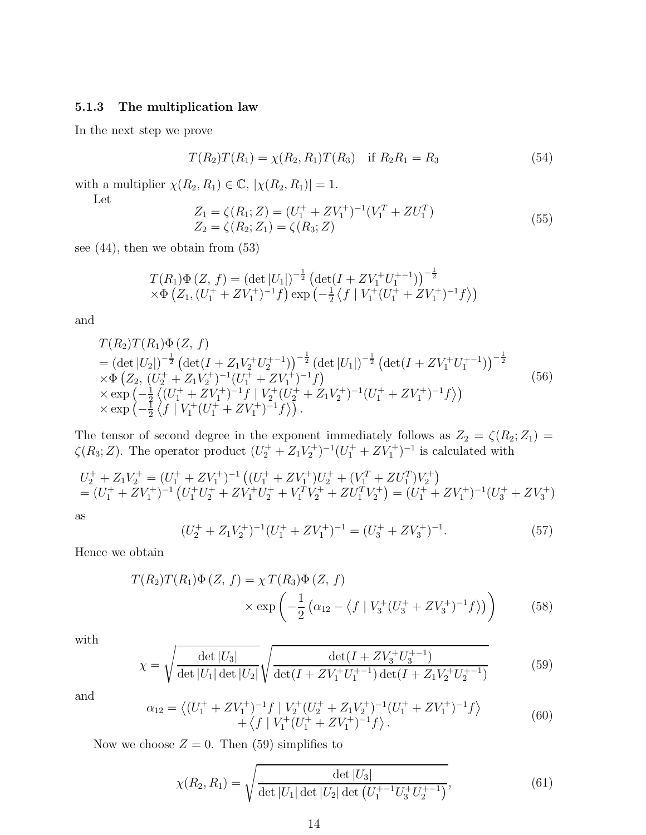## 5.1.3 The multiplication law

In the next step we prove

$$
T(R_2)T(R_1) = \chi(R_2, R_1)T(R_3) \text{ if } R_2R_1 = R_3 \tag{54}
$$

with a multiplier  $\chi(R_2, R_1) \in \mathbb{C}$ ,  $|\chi(R_2, R_1)| = 1$ .

Let

$$
Z_1 = \zeta(R_1; Z) = (U_1^+ + ZV_1^+)^{-1}(V_1^T + ZU_1^T)
$$
  
\n
$$
Z_2 = \zeta(R_2; Z_1) = \zeta(R_3; Z)
$$
\n(55)

see  $(44)$ , then we obtain from  $(53)$ 

$$
T(R_1)\Phi(Z, f) = (\det |U_1|)^{-\frac{1}{2}} (\det(I + ZV_1^+U_1^{+-1}))^{-\frac{1}{2}}
$$
  
× $\Phi$  (Z<sub>1</sub>, (U<sub>1</sub><sup>+</sup> + ZV<sub>1</sub><sup>+</sup>)<sup>-1</sup>f) exp (- $\frac{1}{2}$  \langle f | V<sub>1</sub><sup>+</sup>(U<sub>1</sub><sup>+</sup> + ZV<sub>1</sub><sup>+</sup>)<sup>-1</sup>f $)$ 

and

$$
T(R_2)T(R_1)\Phi(Z, f)
$$
  
=  $(\det |U_2|)^{-\frac{1}{2}} (\det (I + Z_1 V_2^+ U_2^{+-1}))^{-\frac{1}{2}} (\det |U_1|)^{-\frac{1}{2}} (\det (I + Z V_1^+ U_1^{+-1}))^{-\frac{1}{2}}$   
\n $\times \Phi (Z_2, (U_2^+ + Z_1 V_2^+)^{-1} (U_1^+ + Z V_1^+)^{-1} f)$   
\n $\times \exp(-\frac{1}{2} \langle (U_1^+ + Z V_1^+)^{-1} f | V_2^+ (U_2^+ + Z_1 V_2^+)^{-1} (U_1^+ + Z V_1^+)^{-1} f \rangle)$   
\n $\times \exp(-\frac{1}{2} \langle f | V_1^+ (U_1^+ + Z V_1^+)^{-1} f \rangle).$  (56)

The tensor of second degree in the exponent immediately follows as  $Z_2 = \zeta(R_2; Z_1)$  $\zeta(R_3; Z)$ . The operator product  $(U_2^+ + Z_1V_2^+)^{-1}(U_1^+ + ZV_1^+)^{-1}$  is calculated with

$$
U_2^+ + Z_1 V_2^+ = (U_1^+ + Z V_1^+)^{-1} ((U_1^+ + Z V_1^+) U_2^+ + (V_1^T + Z U_1^T) V_2^+)
$$
  
= 
$$
(U_1^+ + Z V_1^+)^{-1} (U_1^+ U_2^+ + Z V_1^+ U_2^+ + V_1^T V_2^+ + Z U_1^T V_2^+) = (U_1^+ + Z V_1^+)^{-1} (U_3^+ + Z V_3^+)
$$

as

$$
(U_2^+ + Z_1 V_2^+)^{-1} (U_1^+ + Z V_1^+)^{-1} = (U_3^+ + Z V_3^+)^{-1}.
$$
\n
$$
(57)
$$

Hence we obtain

$$
T(R_2)T(R_1)\Phi(Z, f) = \chi T(R_3)\Phi(Z, f)
$$
  
 
$$
\times \exp\left(-\frac{1}{2}\left(\alpha_{12} - \langle f | V_3^+(U_3^+ + ZV_3^+)^{-1}f \rangle\right)\right) \tag{58}
$$

with

$$
\chi = \sqrt{\frac{\det|U_3|}{\det|U_1|\det|U_2|}}\sqrt{\frac{\det(I + ZV_3^+U_3^{+-1})}{\det(I + ZV_1^+U_1^{+-1})\det(I + Z_1V_2^+U_2^{+-1})}}
$$
(59)

and

$$
\alpha_{12} = \left\langle (U_1^+ + ZV_1^+)^{-1}f \mid V_2^+(U_2^+ + Z_1V_2^+)^{-1}(U_1^+ + ZV_1^+)^{-1}f \right\rangle \n+ \left\langle f \mid V_1^+(U_1^+ + ZV_1^+)^{-1}f \right\rangle.
$$
\n(60)

Now we choose  $Z = 0$ . Then (59) simplifies to

$$
\chi(R_2, R_1) = \sqrt{\frac{\det |U_3|}{\det |U_1| \det |U_2| \det (U_1^{+-1} U_3^+ U_2^{+-1})}},\tag{61}
$$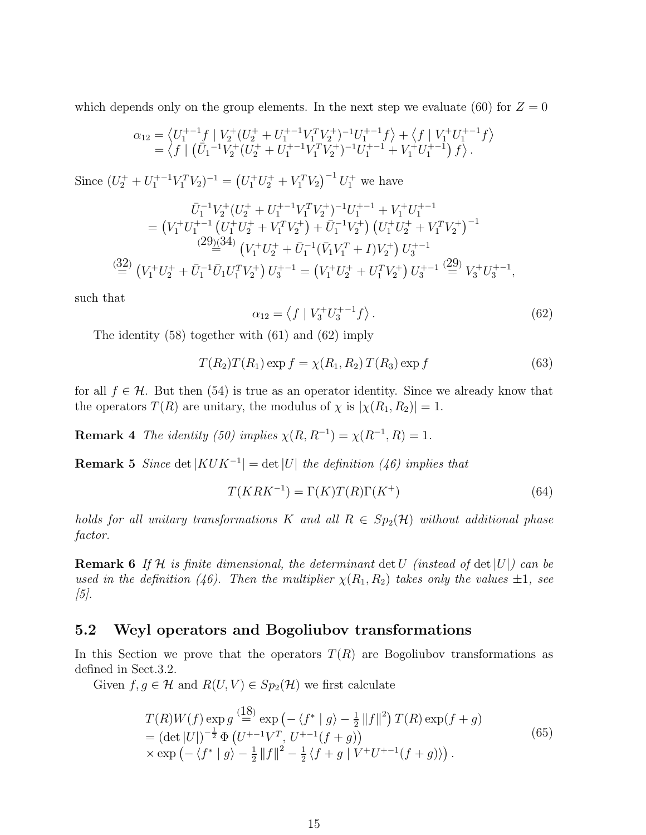which depends only on the group elements. In the next step we evaluate (60) for  $Z = 0$ 

$$
\alpha_{12} = \left\langle U_1^{+-1}f \mid V_2^+(U_2^+ + U_1^{+-1}V_1^TV_2^+)^{-1}U_1^{+-1}f \right\rangle + \left\langle f \mid V_1^+U_1^{+-1}f \right\rangle
$$
  
=  $\left\langle f \mid (\bar{U}_1^{-1}V_2^+(U_2^+ + U_1^{+-1}V_1^TV_2^+)^{-1}U_1^{+-1} + V_1^+U_1^{+-1}) f \right\rangle.$ 

Since  $(U_2^+ + U_1^{+-1}V_1^TV_2)^{-1} = (U_1^+U_2^+ + V_1^TV_2)^{-1}U_1^+$  we have

$$
\bar{U}_1^{-1}V_2^+(U_2^+ + U_1^{+-1}V_1^TV_2^+)^{-1}U_1^{+-1} + V_1^+U_1^{+-1}
$$
\n
$$
= (V_1^+U_1^{+-1} (U_1^+U_2^+ + V_1^TV_2^+) + \bar{U}_1^{-1}V_2^+) (U_1^+U_2^+ + V_1^TV_2^+)^{-1}
$$
\n
$$
\stackrel{(29)(34)}{=} (V_1^+U_2^+ + \bar{U}_1^{-1}(\bar{V}_1V_1^T + I)V_2^+) U_3^{+-1}
$$
\n
$$
\stackrel{(32)}{=} (V_1^+U_2^+ + \bar{U}_1^{-1}\bar{U}_1U_1^TV_2^+) U_3^{+-1} = (V_1^+U_2^+ + U_1^TV_2^+) U_3^{+-1} (29) V_3^+U_3^{+-1},
$$

such that

$$
\alpha_{12} = \langle f | V_3^+ U_3^{+-1} f \rangle. \tag{62}
$$

The identity (58) together with (61) and (62) imply

$$
T(R_2)T(R_1)\exp f = \chi(R_1, R_2) T(R_3)\exp f \tag{63}
$$

for all  $f \in \mathcal{H}$ . But then (54) is true as an operator identity. Since we already know that the operators  $T(R)$  are unitary, the modulus of  $\chi$  is  $|\chi(R_1, R_2)| = 1$ .

**Remark 4** The identity (50) implies  $\chi(R, R^{-1}) = \chi(R^{-1}, R) = 1$ .

**Remark 5** Since det  $|KUK^{-1}|$  = det |U| the definition (46) implies that

$$
T(KRK^{-1}) = \Gamma(K)T(R)\Gamma(K^{+})
$$
\n(64)

holds for all unitary transformations K and all  $R \in Sp_2(\mathcal{H})$  without additional phase factor.

**Remark 6** If H is finite dimensional, the determinant det U (instead of det  $|U|$ ) can be used in the definition (46). Then the multiplier  $\chi(R_1, R_2)$  takes only the values  $\pm 1$ , see  $[5]$ .

### 5.2 Weyl operators and Bogoliubov transformations

In this Section we prove that the operators  $T(R)$  are Bogoliubov transformations as defined in Sect.3.2.

Given  $f, g \in \mathcal{H}$  and  $R(U, V) \in Sp_2(\mathcal{H})$  we first calculate

$$
T(R)W(f) \exp g \stackrel{(18)}{=} \exp(-\langle f^* | g \rangle - \frac{1}{2} ||f||^2) T(R) \exp(f+g)
$$
  
=  $(\det |U|)^{-\frac{1}{2}} \Phi(U^{+-1}V^T, U^{+-1}(f+g))$   
 $\times \exp(-\langle f^* | g \rangle - \frac{1}{2} ||f||^2 - \frac{1}{2} \langle f+g | V^+U^{+-1}(f+g) \rangle).$  (65)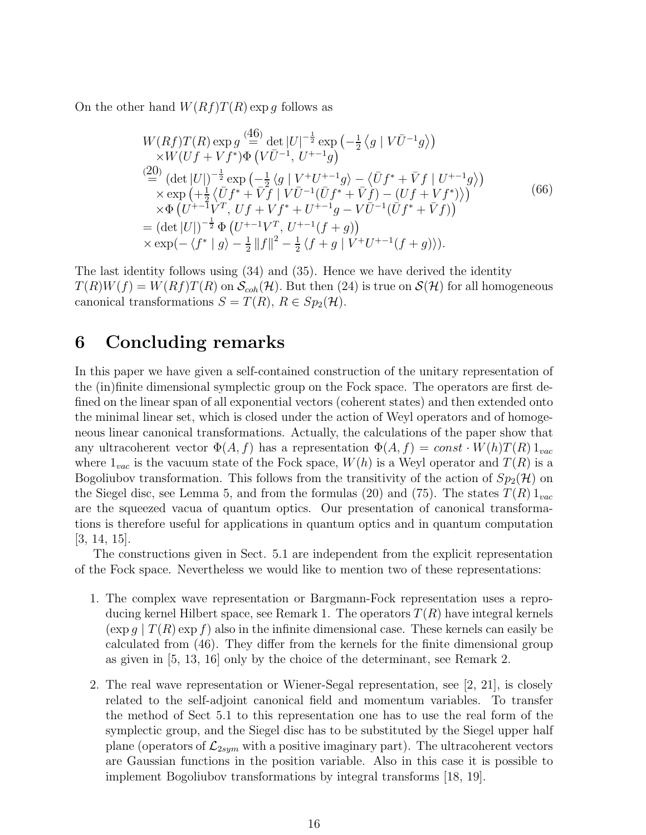On the other hand  $W(Rf)T(R)$  exp g follows as

$$
W(Rf)T(R) \exp g \stackrel{(46)}{=} \det |U|^{-\frac{1}{2}} \exp \left(-\frac{1}{2} \langle g | V\bar{U}^{-1}g \rangle\right) \times W(Uf + Vf^*) \Phi \left(V\bar{U}^{-1}, U^{+-1}g\right) \n\stackrel{(20)}{=} (\det |U|)^{-\frac{1}{2}} \exp \left(-\frac{1}{2} \langle g | V^+U^{+-1}g \rangle - \langle \bar{U}f^* + \bar{V}f | U^{+-1}g \rangle\right) \times \exp \left(+\frac{1}{2} \langle \bar{U}f^* + \bar{V}f | V\bar{U}^{-1}(\bar{U}f^* + \bar{V}f) - (Uf + Vf^*) \rangle\right) \times \Phi \left(U^{+-1}V^T, Uf + Vf^* + U^{+-1}g - V\bar{U}^{-1}(\bar{U}f^* + \bar{V}f)\right) \n= (\det |U|)^{-\frac{1}{2}} \Phi \left(U^{+-1}V^T, U^{+-1}(f+g)\right) \times \exp(-\langle f^* | g \rangle - \frac{1}{2} ||f||^2 - \frac{1}{2} \langle f + g | V^+U^{+-1}(f+g) \rangle).
$$
\n(66)

The last identity follows using (34) and (35). Hence we have derived the identity  $T(R)W(f) = W(Rf)T(R)$  on  $\mathcal{S}_{coh}(\mathcal{H})$ . But then (24) is true on  $\mathcal{S}(\mathcal{H})$  for all homogeneous canonical transformations  $S = T(R)$ ,  $R \in Sp_2(\mathcal{H})$ .

## 6 Concluding remarks

In this paper we have given a self-contained construction of the unitary representation of the (in)finite dimensional symplectic group on the Fock space. The operators are first defined on the linear span of all exponential vectors (coherent states) and then extended onto the minimal linear set, which is closed under the action of Weyl operators and of homogeneous linear canonical transformations. Actually, the calculations of the paper show that any ultracoherent vector  $\Phi(A, f)$  has a representation  $\Phi(A, f) = const \cdot W(h)T(R) 1_{vac}$ where  $1_{vac}$  is the vacuum state of the Fock space,  $W(h)$  is a Weyl operator and  $T(R)$  is a Bogoliubov transformation. This follows from the transitivity of the action of  $Sp_2(\mathcal{H})$  on the Siegel disc, see Lemma 5, and from the formulas (20) and (75). The states  $T(R) 1_{vac}$ are the squeezed vacua of quantum optics. Our presentation of canonical transformations is therefore useful for applications in quantum optics and in quantum computation [3, 14, 15].

The constructions given in Sect. 5.1 are independent from the explicit representation of the Fock space. Nevertheless we would like to mention two of these representations:

- 1. The complex wave representation or Bargmann-Fock representation uses a reproducing kernel Hilbert space, see Remark 1. The operators  $T(R)$  have integral kernels  $(\exp q \mid T(R) \exp f)$  also in the infinite dimensional case. These kernels can easily be calculated from (46). They differ from the kernels for the finite dimensional group as given in [5, 13, 16] only by the choice of the determinant, see Remark 2.
- 2. The real wave representation or Wiener-Segal representation, see [2, 21], is closely related to the self-adjoint canonical field and momentum variables. To transfer the method of Sect 5.1 to this representation one has to use the real form of the symplectic group, and the Siegel disc has to be substituted by the Siegel upper half plane (operators of  $\mathcal{L}_{2sym}$  with a positive imaginary part). The ultracoherent vectors are Gaussian functions in the position variable. Also in this case it is possible to implement Bogoliubov transformations by integral transforms [18, 19].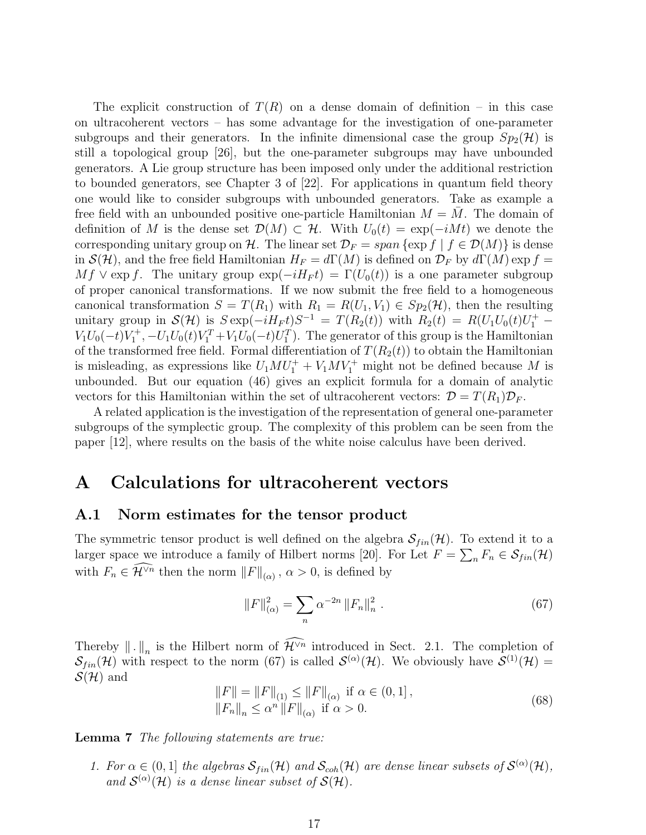The explicit construction of  $T(R)$  on a dense domain of definition – in this case on ultracoherent vectors – has some advantage for the investigation of one-parameter subgroups and their generators. In the infinite dimensional case the group  $Sp_2(\mathcal{H})$  is still a topological group [26], but the one-parameter subgroups may have unbounded generators. A Lie group structure has been imposed only under the additional restriction to bounded generators, see Chapter 3 of [22]. For applications in quantum field theory one would like to consider subgroups with unbounded generators. Take as example a free field with an unbounded positive one-particle Hamiltonian  $M = M$ . The domain of definition of M is the dense set  $\mathcal{D}(M) \subset \mathcal{H}$ . With  $U_0(t) = \exp(-iMt)$  we denote the corresponding unitary group on H. The linear set  $\mathcal{D}_F = span \{ \exp f \mid f \in \mathcal{D}(M) \}$  is dense in  $\mathcal{S}(\mathcal{H})$ , and the free field Hamiltonian  $H_F = d\Gamma(M)$  is defined on  $\mathcal{D}_F$  by  $d\Gamma(M)$  exp  $f =$  $Mf \vee \exp f$ . The unitary group  $\exp(-iH_F t) = \Gamma(U_0(t))$  is a one parameter subgroup of proper canonical transformations. If we now submit the free field to a homogeneous canonical transformation  $S = T(R_1)$  with  $R_1 = R(U_1, V_1) \in Sp_2(\mathcal{H})$ , then the resulting unitary group in  $\mathcal{S}(\mathcal{H})$  is  $S \exp(-iH_F t)S^{-1} = T(R_2(t))$  with  $R_2(t) = R(U_1U_0(t)U_1^+ V_1U_0(-t)V_1^+$ ,  $-U_1U_0(t)V_1^T + V_1U_0(-t)U_1^T$ . The generator of this group is the Hamiltonian of the transformed free field. Formal differentiation of  $T(R_2(t))$  to obtain the Hamiltonian is misleading, as expressions like  $U_1 M U_1^+ + V_1 M V_1^+$  might not be defined because M is unbounded. But our equation (46) gives an explicit formula for a domain of analytic vectors for this Hamiltonian within the set of ultracoherent vectors:  $\mathcal{D} = T(R_1)\mathcal{D}_F$ .

A related application is the investigation of the representation of general one-parameter subgroups of the symplectic group. The complexity of this problem can be seen from the paper [12], where results on the basis of the white noise calculus have been derived.

## A Calculations for ultracoherent vectors

### A.1 Norm estimates for the tensor product

The symmetric tensor product is well defined on the algebra  $\mathcal{S}_{fin}(\mathcal{H})$ . To extend it to a larger space we introduce a family of Hilbert norms [20]. For Let  $F = \sum_n F_n \in \mathcal{S}_{fin}(\mathcal{H})$ with  $F_n \in \mathcal{H}^{\vee n}$  then the norm  $||F||_{(\alpha)}$ ,  $\alpha > 0$ , is defined by

$$
||F||_{(\alpha)}^2 = \sum_n \alpha^{-2n} ||F_n||_n^2.
$$
 (67)

Thereby  $\|\cdot\|_n$  is the Hilbert norm of  $\mathcal{H}^{\vee n}$  introduced in Sect. 2.1. The completion of  $\mathcal{S}_{fin}(\mathcal{H})$  with respect to the norm (67) is called  $\mathcal{S}^{(\alpha)}(\mathcal{H})$ . We obviously have  $\mathcal{S}^{(1)}(\mathcal{H})=$  $\mathcal{S}(\mathcal{H})$  and

$$
||F|| = ||F||_{(1)} \le ||F||_{(\alpha)} \text{ if } \alpha \in (0, 1],
$$
  

$$
||F_n||_n \le \alpha^n ||F||_{(\alpha)} \text{ if } \alpha > 0.
$$
 (68)

Lemma 7 The following statements are true:

1. For  $\alpha \in (0,1]$  the algebras  $\mathcal{S}_{fin}(\mathcal{H})$  and  $\mathcal{S}_{coh}(\mathcal{H})$  are dense linear subsets of  $\mathcal{S}^{(\alpha)}(\mathcal{H})$ , and  $\mathcal{S}^{(\alpha)}(\mathcal{H})$  is a dense linear subset of  $\mathcal{S}(\mathcal{H})$ .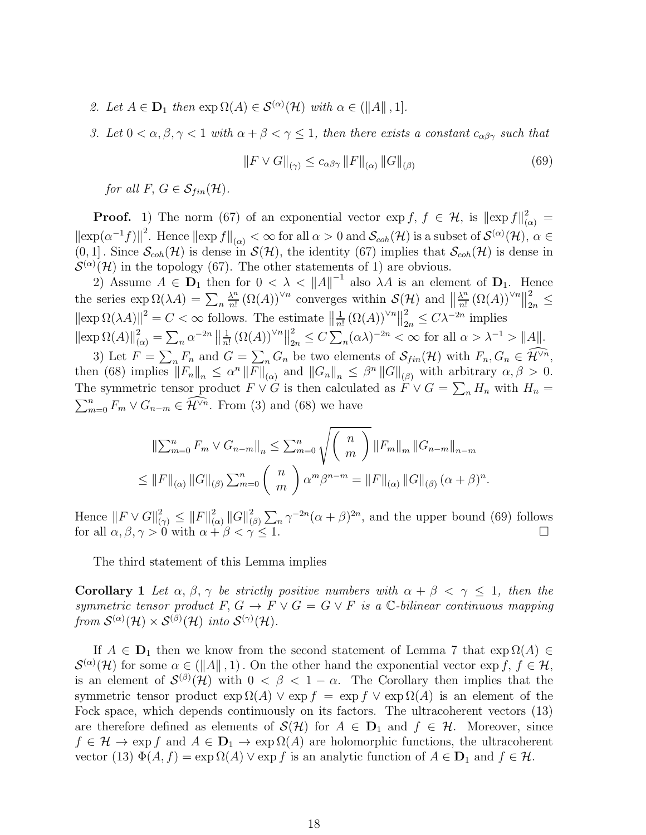- 2. Let  $A \in \mathbf{D}_1$  then  $\exp \Omega(A) \in \mathcal{S}^{(\alpha)}(\mathcal{H})$  with  $\alpha \in (\|A\|, 1].$
- 3. Let  $0 < \alpha, \beta, \gamma < 1$  with  $\alpha + \beta < \gamma \leq 1$ , then there exists a constant  $c_{\alpha\beta\gamma}$  such that

$$
||F \vee G||_{(\gamma)} \le c_{\alpha\beta\gamma} ||F||_{(\alpha)} ||G||_{(\beta)}
$$
\n(69)

for all F,  $G \in \mathcal{S}_{fin}(\mathcal{H})$ .

**Proof.** 1) The norm (67) of an exponential vector  $\exp f$ ,  $f \in \mathcal{H}$ , is  $\|\exp f\|_{(\alpha)}^2 =$  $\|\exp(\alpha^{-1}f)\|^2$ . Hence  $\|\exp f\|_{(\alpha)} < \infty$  for all  $\alpha > 0$  and  $\mathcal{S}_{coh}(\mathcal{H})$  is a subset of  $\mathcal{S}^{(\alpha)}(\mathcal{H})$ ,  $\alpha \in$  $(0, 1]$ . Since  $\mathcal{S}_{coh}(\mathcal{H})$  is dense in  $\mathcal{S}(\mathcal{H})$ , the identity (67) implies that  $\mathcal{S}_{coh}(\mathcal{H})$  is dense in  $\circ$  $\mathcal{L}^{(\alpha)}(\mathcal{H})$  in the topology (67). The other statements of 1) are obvious.

2) Assume  $A \in \mathbf{D}_1$  then for  $0 < \lambda < ||A||^{-1}$  also  $\lambda A$  is an element of  $\mathbf{D}_1$ . Hence the series  $\exp \Omega(\lambda A) = \sum_n$  $\lambda^n$  $\frac{\lambda^n}{n!} (\Omega(A))^{\vee n}$  converges within  $\mathcal{S}(\mathcal{H})$  and  $\left\| \frac{\lambda^n}{n!} \right\|$  $\frac{\lambda^n}{n!} (\Omega(A))^{\vee n} \|_2^2$  $_{2n} \geq$  $\|\exp \Omega(\lambda A)\|^2 = C < \infty$  follows. The estimate  $\|\frac{1}{n}\|$  $\frac{1}{n!} (\Omega(A))^{\vee n} \|_2^2$  $\frac{2}{2n}$  ≤  $C\lambda^{-2n}$  implies  $\|\exp \Omega(A)\|_{(\alpha)}^2 = \sum_n \alpha^{-2n} \|\frac{1}{n}\$  $\frac{1}{n!} (\Omega(A))^{\vee n} \|_2^2$  $\frac{2}{2n} \leq C \sum_{n} (\alpha \lambda)^{-2n} < \infty$  for all  $\alpha > \lambda^{-1} > ||A||$ .

3) Let  $F = \sum_n F_n$  and  $G = \sum_n G_n$  be two elements of  $\mathcal{S}_{fin}(\mathcal{H})$  with  $F_n, G_n \in \widehat{\mathcal{H}}^{\vee n}$ , then (68) implies  $||F_n||_n \leq \alpha^n ||F||_{(\alpha)}$  and  $||G_n||_n \leq \beta^n ||G||_{(\beta)}$  with arbitrary  $\alpha, \beta > 0$ . The symmetric tensor product  $F \vee G$  is then calculated as  $\tilde{F} \vee G = \sum_n H_n$  with  $H_n = \sum_{m=0}^n F_m \vee G_{n-m} \in \mathcal{H}^{\vee n}$ . From (3) and (68) we have  $\sum_{m=0}^{n} F_m \vee G_{n-m} \in \widehat{\mathcal{H}}^{\vee n}$ . From (3) and (68) we have

$$
\|\sum_{m=0}^{n} F_m \vee G_{n-m}\|_{n} \le \sum_{m=0}^{n} \sqrt{\binom{n}{m}} \|F_m\|_{m} \|G_{n-m}\|_{n-m}
$$
  

$$
\le \|F\|_{(\alpha)} \|G\|_{(\beta)} \sum_{m=0}^{n} \binom{n}{m} \alpha^{m} \beta^{n-m} = \|F\|_{(\alpha)} \|G\|_{(\beta)} (\alpha + \beta)^{n}.
$$

Hence  $||F \vee G||^2_{(\gamma)} \leq ||F||^2_{(\gamma)}$  $_{(\alpha )}^{2}\left\Vert G\right\Vert _{(\beta )}^{2}$  $\sum_{(\beta)}^2 \sum_n \gamma^{-2n} (\alpha + \beta)^{2n}$ , and the upper bound (69) follows for all  $\alpha, \beta, \gamma > 0$  with  $\alpha + \beta < \gamma \le 1$ .

The third statement of this Lemma implies

Corollary 1 Let  $\alpha$ ,  $\beta$ ,  $\gamma$  be strictly positive numbers with  $\alpha + \beta < \gamma \leq 1$ , then the symmetric tensor product F,  $G \to F \vee G = G \vee F$  is a C-bilinear continuous mapping from  $S^{(\alpha)}(\mathcal{H}) \times S^{(\beta)}(\mathcal{H})$  into  $S^{(\gamma)}(\mathcal{H})$ .

If  $A \in \mathbf{D}_1$  then we know from the second statement of Lemma 7 that  $\exp \Omega(A) \in$  $\mathcal{S}^{(\alpha)}(\mathcal{H})$  for some  $\alpha \in (||A||, 1)$ . On the other hand the exponential vector  $\exp f, f \in \mathcal{H}$ , is an element of  $\mathcal{S}^{(\beta)}(\mathcal{H})$  with  $0 < \beta < 1-\alpha$ . The Corollary then implies that the symmetric tensor product  $\exp \Omega(A) \vee \exp f = \exp f \vee \exp \Omega(A)$  is an element of the Fock space, which depends continuously on its factors. The ultracoherent vectors (13) are therefore defined as elements of  $\mathcal{S}(\mathcal{H})$  for  $A \in \mathbf{D}_1$  and  $f \in \mathcal{H}$ . Moreover, since  $f \in \mathcal{H} \to \exp f$  and  $A \in \mathbf{D}_1 \to \exp \Omega(A)$  are holomorphic functions, the ultracoherent vector (13)  $\Phi(A, f) = \exp \Omega(A) \vee \exp f$  is an analytic function of  $A \in \mathbf{D}_1$  and  $f \in \mathcal{H}$ .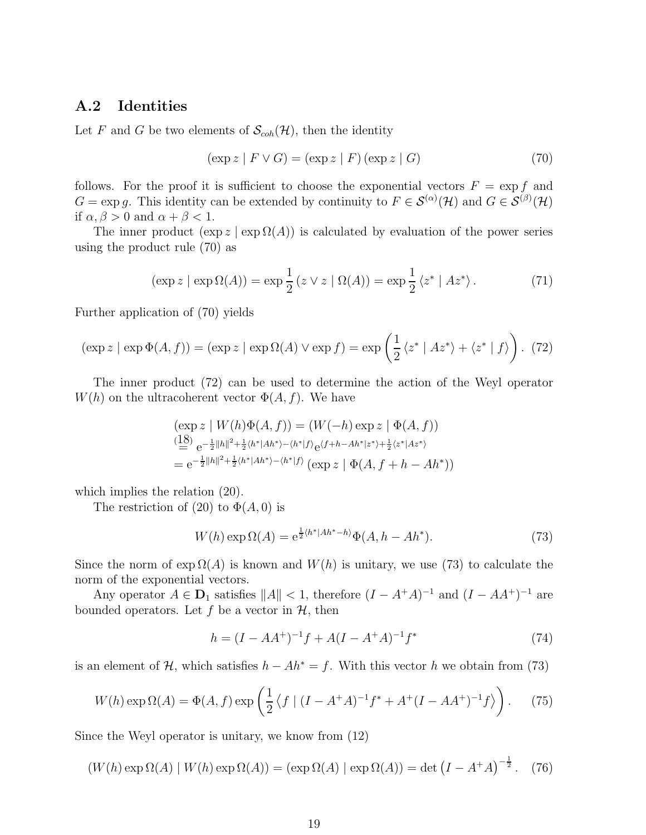## A.2 Identities

Let F and G be two elements of  $\mathcal{S}_{coh}(\mathcal{H})$ , then the identity

$$
(\exp z \mid F \lor G) = (\exp z \mid F) (\exp z \mid G) \tag{70}
$$

follows. For the proof it is sufficient to choose the exponential vectors  $F = \exp f$  and  $G = \exp g$ . This identity can be extended by continuity to  $F \in \mathcal{S}^{(\alpha)}(\mathcal{H})$  and  $G \in \mathcal{S}^{(\beta)}(\mathcal{H})$ if  $\alpha, \beta > 0$  and  $\alpha + \beta < 1$ .

The inner product  $(\exp z | \exp \Omega(A))$  is calculated by evaluation of the power series using the product rule (70) as

$$
(\exp z \mid \exp \Omega(A)) = \exp \frac{1}{2} (z \vee z \mid \Omega(A)) = \exp \frac{1}{2} \langle z^* \mid Az^* \rangle.
$$
 (71)

Further application of (70) yields

$$
(\exp z \mid \exp \Phi(A, f)) = (\exp z \mid \exp \Omega(A) \lor \exp f) = \exp \left(\frac{1}{2} \langle z^* \mid Az^* \rangle + \langle z^* \mid f \rangle\right). (72)
$$

The inner product (72) can be used to determine the action of the Weyl operator  $W(h)$  on the ultracoherent vector  $\Phi(A, f)$ . We have

$$
\begin{aligned} & (\exp z \mid W(h)\Phi(A,f)) = (W(-h)\exp z \mid \Phi(A,f)) \\ & \stackrel{(18)}{=} e^{-\frac{1}{2}\|h\|^2 + \frac{1}{2}\langle h^*|Ah^*\rangle - \langle h^*|f\rangle} e^{\langle f+h - Ah^*|z^*\rangle + \frac{1}{2}\langle z^*|Az^*\rangle} \\ & = e^{-\frac{1}{2}\|h\|^2 + \frac{1}{2}\langle h^*|Ah^*\rangle - \langle h^*|f\rangle} \left(\exp z \mid \Phi(A,f+h - Ah^*)\right) \end{aligned}
$$

which implies the relation (20).

The restriction of (20) to  $\Phi(A, 0)$  is

$$
W(h) \exp \Omega(A) = e^{\frac{1}{2} \langle h^* | Ah^* - h \rangle} \Phi(A, h - Ah^*).
$$
 (73)

Since the norm of  $\exp \Omega(A)$  is known and  $W(h)$  is unitary, we use (73) to calculate the norm of the exponential vectors.

Any operator  $A \in \mathbf{D}_1$  satisfies  $||A|| < 1$ , therefore  $(I - A^+A)^{-1}$  and  $(I - AA^+)^{-1}$  are bounded operators. Let f be a vector in  $H$ , then

$$
h = (I - AA^{+})^{-1}f + A(I - A^{+}A)^{-1}f^{*}
$$
\n(74)

is an element of H, which satisfies  $h - Ah^* = f$ . With this vector h we obtain from (73)

$$
W(h) \exp \Omega(A) = \Phi(A, f) \exp \left(\frac{1}{2} \left\langle f \mid (I - A^{+}A)^{-1} f^{*} + A^{+} (I - AA^{+})^{-1} f \right\rangle\right). \tag{75}
$$

Since the Weyl operator is unitary, we know from (12)

$$
(W(h)\exp\Omega(A) | W(h)\exp\Omega(A)) = (\exp\Omega(A) | \exp\Omega(A)) = \det(I - A^+A)^{-\frac{1}{2}}.
$$
 (76)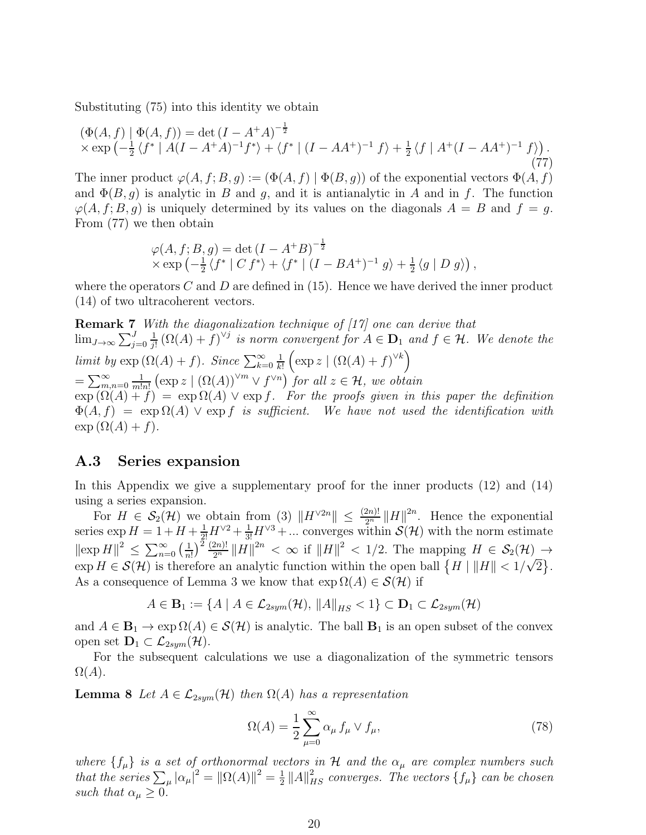Substituting (75) into this identity we obtain

$$
(\Phi(A, f) \mid \Phi(A, f)) = \det(I - A^+ A)^{-\frac{1}{2}} \times \exp\left(-\frac{1}{2} \langle f^* \mid A(I - A^+ A)^{-1} f^* \rangle + \langle f^* \mid (I - A A^+)^{-1} f \rangle + \frac{1}{2} \langle f \mid A^+ (I - A A^+)^{-1} f \rangle\right).
$$
\n(77)

The inner product  $\varphi(A, f; B, g) := (\Phi(A, f) | \Phi(B, g))$  of the exponential vectors  $\Phi(A, f)$ and  $\Phi(B, q)$  is analytic in B and q, and it is antianalytic in A and in f. The function  $\varphi(A, f; B, g)$  is uniquely determined by its values on the diagonals  $A = B$  and  $f = g$ . From (77) we then obtain

$$
\varphi(A, f; B, g) = \det (I - A^+ B)^{-\frac{1}{2}}
$$
  
 
$$
\times \exp \left(-\frac{1}{2} \langle f^* | C f^* \rangle + \langle f^* | (I - BA^+)^{-1} g \rangle + \frac{1}{2} \langle g | D g \rangle \right),
$$

where the operators C and D are defined in  $(15)$ . Hence we have derived the inner product (14) of two ultracoherent vectors.

Remark 7 With the diagonalization technique of [17] one can derive that  $\lim_{J\to\infty}\sum_{j=0}^J$ 1  $\frac{1}{j!}(\Omega(A)+f)^{\vee j}$  is norm convergent for  $A\in \mathbf{D}_1$  and  $f\in \mathcal{H}$ . We denote the *limit by*  $\exp(\Omega(A) + f)$ . Since  $\sum_{k=0}^{\infty}$ 1 k!  $\left(\exp z \mid (\Omega(A) + f)^{\vee k}\right)$  $=\sum_{m,n=0}^{\infty}$ 1  $\frac{1}{m!n!}$   $(\exp z \mid (\Omega(A))^{\vee m} \vee f^{\vee n})$  for all  $z \in \mathcal{H}$ , we obtain  $\exp(\Omega(A) + f) = \exp \Omega(A)$   $\vee$  exp f. For the proofs given in this paper the definition  $\Phi(A, f) = \exp \Omega(A)$   $\vee$  exp f is sufficient. We have not used the identification with  $\exp(\Omega(A) + f).$ 

#### A.3 Series expansion

In this Appendix we give a supplementary proof for the inner products (12) and (14) using a series expansion.

For  $H \in \mathcal{S}_2(\mathcal{H})$  we obtain from (3)  $\|H^{\vee 2n}\| \leq \frac{(2n)!}{2^n} \|H\|^{2n}$ . Hence the exponential series  $\exp H = 1 + H + \frac{1}{2!}H^{\vee 2} + \frac{1}{3!}H^{\vee 3} + \dots$  converges within  $\mathcal{S}(\mathcal{H})$  with the norm estimate  $\|\exp H\|^2 \leq \sum_{n=0}^{\infty} \left(\frac{1}{n}\right)$  $\frac{1}{n!}$ )<sup>2</sup>  $\frac{(2n)!}{2^n}$   $||H||^{2n} < \infty$  if  $||H||^2 < 1/2$ . The mapping  $H \in \mathcal{S}_2(\mathcal{H}) \rightarrow$  $\exp H \in \mathcal{S}(\mathcal{H})$  is therefore an analytic function within the open ball  $\{H \mid ||H|| < 1/\sqrt{2}\}.$ As a consequence of Lemma 3 we know that  $\exp \Omega(A) \in \mathcal{S}(\mathcal{H})$  if

$$
A \in \mathbf{B}_1 := \{ A \mid A \in \mathcal{L}_{2sym}(\mathcal{H}), \|A\|_{HS} < 1 \} \subset \mathbf{D}_1 \subset \mathcal{L}_{2sym}(\mathcal{H})
$$

and  $A \in \mathbf{B}_1 \to \exp \Omega(A) \in \mathcal{S}(\mathcal{H})$  is analytic. The ball  $\mathbf{B}_1$  is an open subset of the convex open set  $\mathbf{D}_1 \subset \mathcal{L}_{2sym}(\mathcal{H})$ .

For the subsequent calculations we use a diagonalization of the symmetric tensors  $\Omega(A).$ 

**Lemma 8** Let  $A \in \mathcal{L}_{2sym}(\mathcal{H})$  then  $\Omega(A)$  has a representation

$$
\Omega(A) = \frac{1}{2} \sum_{\mu=0}^{\infty} \alpha_{\mu} f_{\mu} \vee f_{\mu}, \qquad (78)
$$

where  $\{f_\mu\}$  is a set of orthonormal vectors in H and the  $\alpha_\mu$  are complex numbers such that the series  $\sum_{\mu} |\alpha_{\mu}|^2 = ||\Omega(A)||^2 = \frac{1}{2}$  $\frac{1}{2}$  ||A|| $^2_{HS}$  converges. The vectors  $\{f_\mu\}$  can be chosen such that  $\alpha_{\mu} \geq 0$ .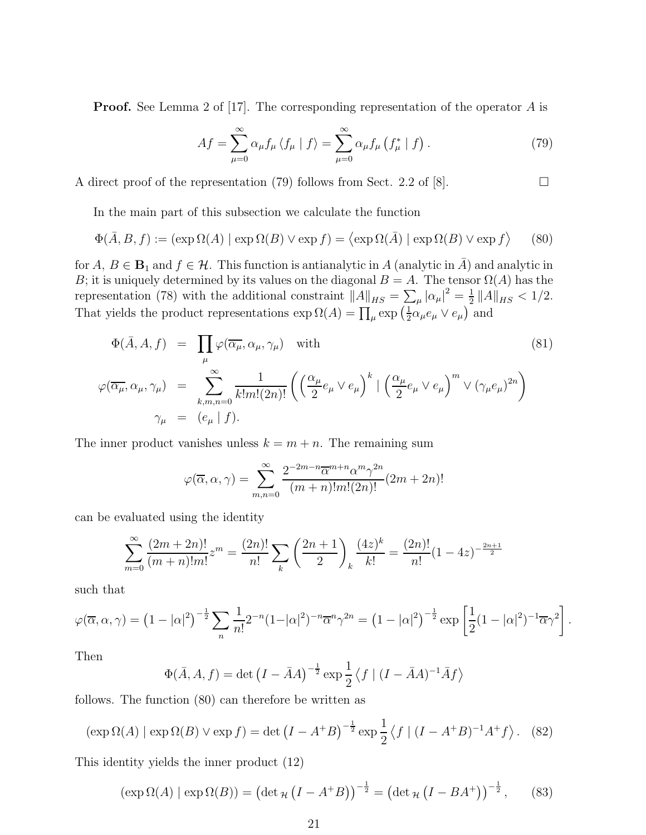**Proof.** See Lemma 2 of [17]. The corresponding representation of the operator A is

$$
Af = \sum_{\mu=0}^{\infty} \alpha_{\mu} f_{\mu} \langle f_{\mu} | f \rangle = \sum_{\mu=0}^{\infty} \alpha_{\mu} f_{\mu} \left( f_{\mu}^{*} | f \right). \tag{79}
$$

A direct proof of the representation (79) follows from Sect. 2.2 of [8].  $\Box$ 

In the main part of this subsection we calculate the function

$$
\Phi(\bar{A}, B, f) := (\exp \Omega(A) | \exp \Omega(B) \vee \exp f) = \langle \exp \Omega(\bar{A}) | \exp \Omega(B) \vee \exp f \rangle \qquad (80)
$$

for  $A, B \in \mathbf{B}_1$  and  $f \in \mathcal{H}$ . This function is antianalytic in A (analytic in  $\overline{A}$ ) and analytic in B; it is uniquely determined by its values on the diagonal  $B = A$ . The tensor  $\Omega(A)$  has the representation (78) with the additional constraint  $||A||_{HS} = \sum_{\mu} |\alpha_{\mu}|^2 = \frac{1}{2}$  $\frac{1}{2}$  ||A||<sub>HS</sub> < 1/2. That yields the product representations  $\exp \Omega(A) = \prod_{\mu} \exp \left( \frac{1}{2} \right)$  $\frac{1}{2}\alpha_{\mu}e_{\mu} \vee e_{\mu}$  and

$$
\Phi(\bar{A}, A, f) = \prod_{\mu} \varphi(\overline{\alpha_{\mu}}, \alpha_{\mu}, \gamma_{\mu}) \text{ with}
$$
\n
$$
\varphi(\overline{\alpha_{\mu}}, \alpha_{\mu}, \gamma_{\mu}) = \sum_{k,m,n=0}^{\infty} \frac{1}{k!m!(2n)!} \left( \left( \frac{\alpha_{\mu}}{2} e_{\mu} \vee e_{\mu} \right)^{k} \mid \left( \frac{\alpha_{\mu}}{2} e_{\mu} \vee e_{\mu} \right)^{m} \vee (\gamma_{\mu} e_{\mu})^{2n} \right)
$$
\n
$$
\gamma_{\mu} = (e_{\mu} | f).
$$
\n(81)

The inner product vanishes unless  $k = m + n$ . The remaining sum

$$
\varphi(\overline{\alpha}, \alpha, \gamma) = \sum_{m,n=0}^{\infty} \frac{2^{-2m-n} \overline{\alpha}^{m+n} \alpha^m \gamma^{2n}}{(m+n)! m! (2n)!} (2m+2n)!
$$

can be evaluated using the identity

$$
\sum_{m=0}^{\infty} \frac{(2m+2n)!}{(m+n)!m!} z^m = \frac{(2n)!}{n!} \sum_{k} \left(\frac{2n+1}{2}\right)_k \frac{(4z)^k}{k!} = \frac{(2n)!}{n!} (1-4z)^{-\frac{2n+1}{2}}
$$

such that

$$
\varphi(\overline{\alpha}, \alpha, \gamma) = (1 - |\alpha|^2)^{-\frac{1}{2}} \sum_{n} \frac{1}{n!} 2^{-n} (1 - |\alpha|^2)^{-n} \overline{\alpha}^n \gamma^{2n} = (1 - |\alpha|^2)^{-\frac{1}{2}} \exp\left[\frac{1}{2} (1 - |\alpha|^2)^{-1} \overline{\alpha} \gamma^2\right].
$$

Then

$$
\Phi(\bar{A}, A, f) = \det \left( I - \bar{A}A \right)^{-\frac{1}{2}} \exp \frac{1}{2} \left\langle f \mid (I - \bar{A}A)^{-1} \bar{A} f \right\rangle
$$

follows. The function (80) can therefore be written as

$$
(\exp \Omega(A) | \exp \Omega(B) \vee \exp f) = \det (I - A^+ B)^{-\frac{1}{2}} \exp \frac{1}{2} \langle f | (I - A^+ B)^{-1} A^+ f \rangle. \tag{82}
$$

This identity yields the inner product (12)

$$
(\exp \Omega(A) | \exp \Omega(B)) = (\det_{\mathcal{H}} (I - A^+ B))^{-\frac{1}{2}} = (\det_{\mathcal{H}} (I - B A^+))^{-\frac{1}{2}}, \quad (83)
$$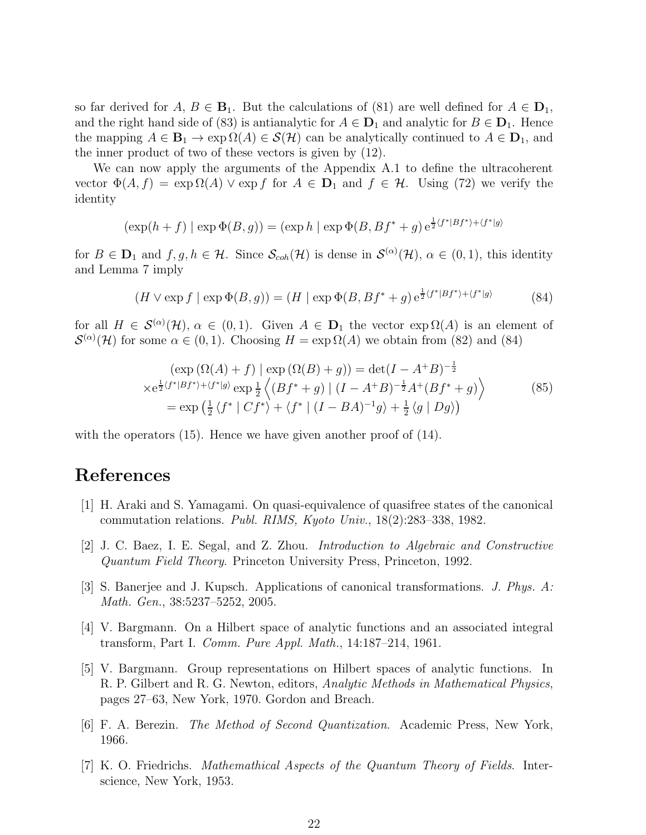so far derived for  $A, B \in \mathbf{B}_1$ . But the calculations of (81) are well defined for  $A \in \mathbf{D}_1$ , and the right hand side of (83) is antianalytic for  $A \in \mathbf{D}_1$  and analytic for  $B \in \mathbf{D}_1$ . Hence the mapping  $A \in \mathbf{B}_1 \to \exp \Omega(A) \in \mathcal{S}(\mathcal{H})$  can be analytically continued to  $A \in \mathbf{D}_1$ , and the inner product of two of these vectors is given by (12).

We can now apply the arguments of the Appendix A.1 to define the ultracoherent vector  $\Phi(A, f) = \exp \Omega(A)$   $\vee$  exp f for  $A \in \mathbf{D}_1$  and  $f \in \mathcal{H}$ . Using (72) we verify the identity

$$
(\exp(h+f) | \exp \Phi(B,g)) = (\exp h | \exp \Phi(B,Bf^*+g) e^{\frac{1}{2}(f^*|Bf^*|+|f^*|g)}
$$

for  $B \in \mathbf{D}_1$  and  $f, g, h \in \mathcal{H}$ . Since  $\mathcal{S}_{coh}(\mathcal{H})$  is dense in  $\mathcal{S}^{(\alpha)}(\mathcal{H}), \alpha \in (0, 1)$ , this identity and Lemma 7 imply

$$
(H \vee \exp f \mid \exp \Phi(B, g)) = (H \mid \exp \Phi(B, Bf^* + g) e^{\frac{1}{2} \langle f^* | Bf^* \rangle + \langle f^* | g \rangle} \tag{84}
$$

for all  $H \in \mathcal{S}^{(\alpha)}(\mathcal{H}), \alpha \in (0,1)$ . Given  $A \in \mathbf{D}_1$  the vector  $\exp \Omega(A)$  is an element of  $\mathcal{S}^{(\alpha)}(\mathcal{H})$  for some  $\alpha \in (0,1)$ . Choosing  $H = \exp \Omega(A)$  we obtain from (82) and (84)

$$
\left(\exp\left(\Omega(A) + f\right) \mid \exp\left(\Omega(B) + g\right)\right) = \det(I - A^+ B)^{-\frac{1}{2}}
$$
  
\n
$$
\times e^{\frac{1}{2}\langle f^*|Bf^*\rangle + \langle f^*|g\rangle} \exp\frac{1}{2}\left\langle (Bf^* + g) \mid (I - A^+ B)^{-\frac{1}{2}}A^+(Bf^* + g)\right\rangle
$$
  
\n
$$
= \exp\left(\frac{1}{2}\langle f^* | Cf^*\rangle + \langle f^* | (I - BA)^{-1}g\rangle + \frac{1}{2}\langle g | Dg\rangle\right)
$$
\n(85)

with the operators (15). Hence we have given another proof of (14).

## References

- [1] H. Araki and S. Yamagami. On quasi-equivalence of quasifree states of the canonical commutation relations. Publ. RIMS, Kyoto Univ., 18(2):283–338, 1982.
- [2] J. C. Baez, I. E. Segal, and Z. Zhou. Introduction to Algebraic and Constructive Quantum Field Theory. Princeton University Press, Princeton, 1992.
- [3] S. Banerjee and J. Kupsch. Applications of canonical transformations. J. Phys. A: Math. Gen., 38:5237–5252, 2005.
- [4] V. Bargmann. On a Hilbert space of analytic functions and an associated integral transform, Part I. Comm. Pure Appl. Math., 14:187–214, 1961.
- [5] V. Bargmann. Group representations on Hilbert spaces of analytic functions. In R. P. Gilbert and R. G. Newton, editors, Analytic Methods in Mathematical Physics, pages 27–63, New York, 1970. Gordon and Breach.
- [6] F. A. Berezin. The Method of Second Quantization. Academic Press, New York, 1966.
- [7] K. O. Friedrichs. Mathemathical Aspects of the Quantum Theory of Fields. Interscience, New York, 1953.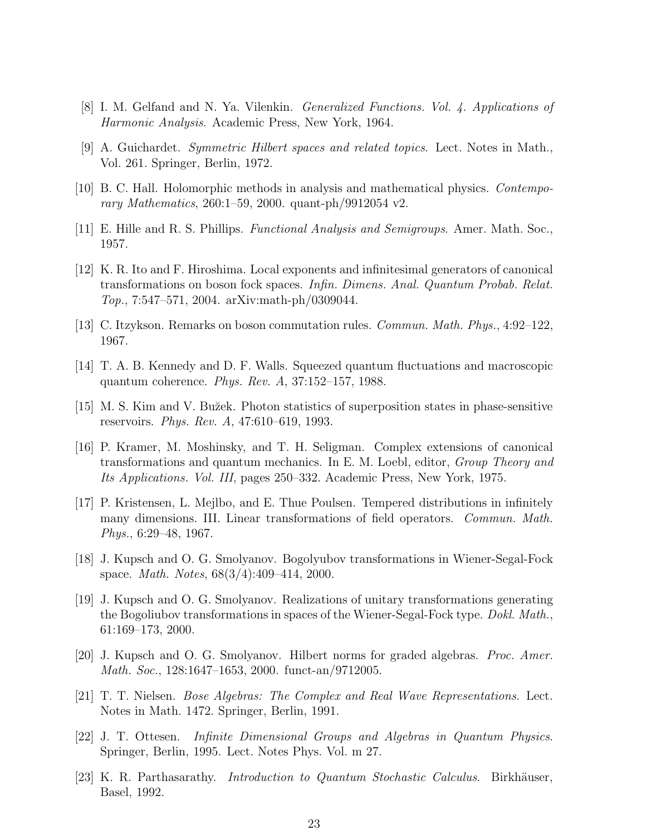- [8] I. M. Gelfand and N. Ya. Vilenkin. Generalized Functions. Vol. 4. Applications of Harmonic Analysis. Academic Press, New York, 1964.
- [9] A. Guichardet. Symmetric Hilbert spaces and related topics. Lect. Notes in Math., Vol. 261. Springer, Berlin, 1972.
- [10] B. C. Hall. Holomorphic methods in analysis and mathematical physics. Contemporary Mathematics, 260:1–59, 2000. quant-ph/9912054 v2.
- [11] E. Hille and R. S. Phillips. Functional Analysis and Semigroups. Amer. Math. Soc., 1957.
- [12] K. R. Ito and F. Hiroshima. Local exponents and infinitesimal generators of canonical transformations on boson fock spaces. Infin. Dimens. Anal. Quantum Probab. Relat. Top., 7:547–571, 2004. arXiv:math-ph/0309044.
- [13] C. Itzykson. Remarks on boson commutation rules. Commun. Math. Phys., 4:92–122, 1967.
- [14] T. A. B. Kennedy and D. F. Walls. Squeezed quantum fluctuations and macroscopic quantum coherence. Phys. Rev. A, 37:152–157, 1988.
- [15] M. S. Kim and V. Bu˘zek. Photon statistics of superposition states in phase-sensitive reservoirs. Phys. Rev. A, 47:610–619, 1993.
- [16] P. Kramer, M. Moshinsky, and T. H. Seligman. Complex extensions of canonical transformations and quantum mechanics. In E. M. Loebl, editor, Group Theory and Its Applications. Vol. III, pages 250–332. Academic Press, New York, 1975.
- [17] P. Kristensen, L. Mejlbo, and E. Thue Poulsen. Tempered distributions in infinitely many dimensions. III. Linear transformations of field operators. *Commun. Math.* Phys., 6:29–48, 1967.
- [18] J. Kupsch and O. G. Smolyanov. Bogolyubov transformations in Wiener-Segal-Fock space. Math. Notes, 68(3/4):409–414, 2000.
- [19] J. Kupsch and O. G. Smolyanov. Realizations of unitary transformations generating the Bogoliubov transformations in spaces of the Wiener-Segal-Fock type. Dokl. Math., 61:169–173, 2000.
- [20] J. Kupsch and O. G. Smolyanov. Hilbert norms for graded algebras. Proc. Amer. Math. Soc., 128:1647–1653, 2000. funct-an/9712005.
- [21] T. T. Nielsen. Bose Algebras: The Complex and Real Wave Representations. Lect. Notes in Math. 1472. Springer, Berlin, 1991.
- [22] J. T. Ottesen. Infinite Dimensional Groups and Algebras in Quantum Physics. Springer, Berlin, 1995. Lect. Notes Phys. Vol. m 27.
- [23] K. R. Parthasarathy. *Introduction to Quantum Stochastic Calculus*. Birkhäuser, Basel, 1992.